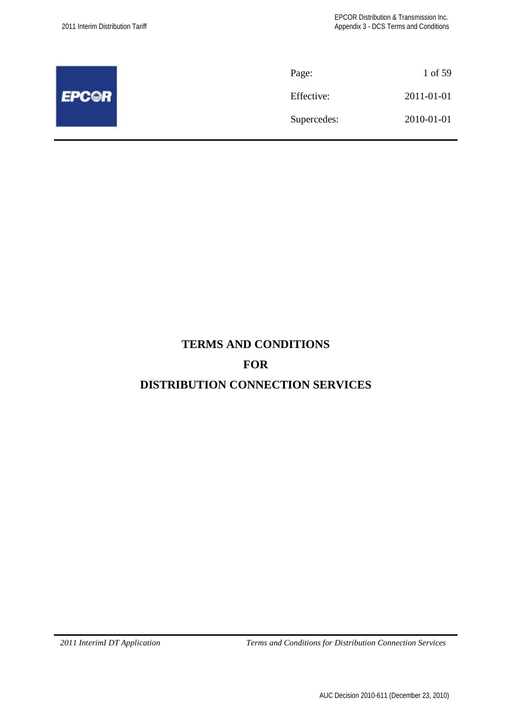|              | Page:       | 1 of 59    |
|--------------|-------------|------------|
| <b>EPCOR</b> | Effective:  | 2011-01-01 |
|              | Supercedes: | 2010-01-01 |
|              |             |            |

# **TERMS AND CONDITIONS**

# **FOR**

# **DISTRIBUTION CONNECTION SERVICES**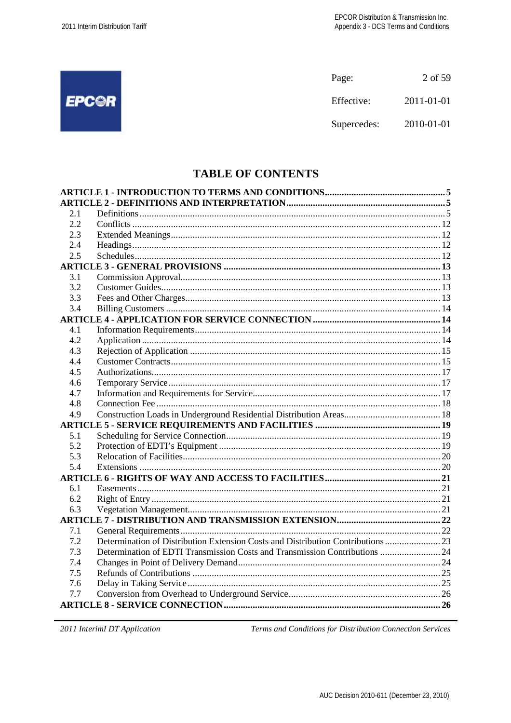|              | Page:       | 2 of 59    |
|--------------|-------------|------------|
| <b>EPCOR</b> | Effective:  | 2011-01-01 |
|              | Supercedes: | 2010-01-01 |

# **TABLE OF CONTENTS**

| 2.1 |                                                                                  |  |
|-----|----------------------------------------------------------------------------------|--|
| 2.2 |                                                                                  |  |
| 2.3 |                                                                                  |  |
| 2.4 |                                                                                  |  |
| 2.5 |                                                                                  |  |
|     |                                                                                  |  |
| 3.1 |                                                                                  |  |
| 3.2 |                                                                                  |  |
| 3.3 |                                                                                  |  |
| 3.4 |                                                                                  |  |
|     |                                                                                  |  |
| 4.1 |                                                                                  |  |
| 4.2 |                                                                                  |  |
| 4.3 |                                                                                  |  |
| 4.4 |                                                                                  |  |
| 4.5 |                                                                                  |  |
| 4.6 |                                                                                  |  |
| 4.7 |                                                                                  |  |
| 4.8 |                                                                                  |  |
| 4.9 |                                                                                  |  |
|     |                                                                                  |  |
| 5.1 |                                                                                  |  |
| 5.2 |                                                                                  |  |
| 5.3 |                                                                                  |  |
| 5.4 |                                                                                  |  |
|     |                                                                                  |  |
| 6.1 |                                                                                  |  |
| 6.2 |                                                                                  |  |
| 6.3 |                                                                                  |  |
|     |                                                                                  |  |
| 7.1 |                                                                                  |  |
| 7.2 | Determination of Distribution Extension Costs and Distribution Contributions  23 |  |
| 7.3 | Determination of EDTI Transmission Costs and Transmission Contributions  24      |  |
| 7.4 |                                                                                  |  |
| 7.5 |                                                                                  |  |
| 7.6 |                                                                                  |  |
| 7.7 |                                                                                  |  |
|     |                                                                                  |  |
|     |                                                                                  |  |

2011 InterimI DT Application

Terms and Conditions for Distribution Connection Services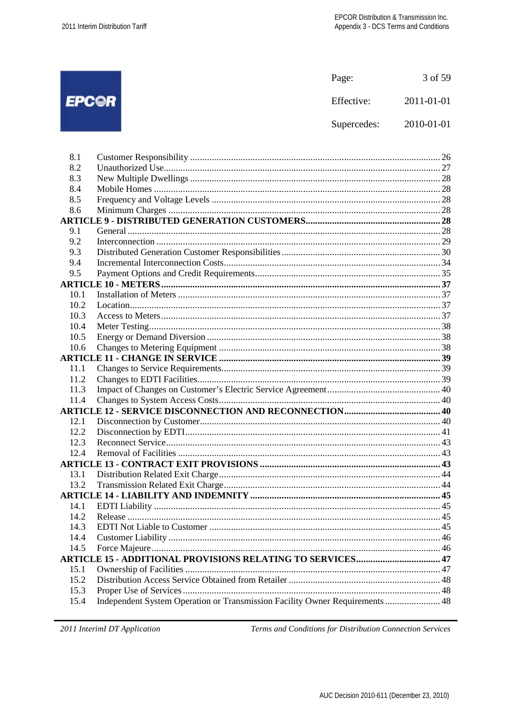|       | Page:       | 3 of 59    |
|-------|-------------|------------|
| EPC©R | Effective:  | 2011-01-01 |
|       | Supercedes: | 2010-01-01 |
|       |             |            |

| 8.1  |                                                                              |  |
|------|------------------------------------------------------------------------------|--|
| 8.2  |                                                                              |  |
| 8.3  |                                                                              |  |
| 8.4  |                                                                              |  |
| 8.5  |                                                                              |  |
| 8.6  |                                                                              |  |
|      |                                                                              |  |
| 9.1  |                                                                              |  |
| 9.2  |                                                                              |  |
| 9.3  |                                                                              |  |
| 9.4  |                                                                              |  |
| 9.5  |                                                                              |  |
|      |                                                                              |  |
| 10.1 |                                                                              |  |
| 10.2 |                                                                              |  |
| 10.3 |                                                                              |  |
| 10.4 |                                                                              |  |
| 10.5 |                                                                              |  |
| 10.6 |                                                                              |  |
|      |                                                                              |  |
| 11.1 |                                                                              |  |
| 11.2 |                                                                              |  |
| 11.3 |                                                                              |  |
| 11.4 |                                                                              |  |
|      |                                                                              |  |
| 12.1 |                                                                              |  |
| 12.2 |                                                                              |  |
| 12.3 |                                                                              |  |
| 12.4 |                                                                              |  |
|      |                                                                              |  |
| 13.1 |                                                                              |  |
| 13.2 |                                                                              |  |
|      |                                                                              |  |
| 14.1 |                                                                              |  |
| 14.2 |                                                                              |  |
| 14.3 |                                                                              |  |
| 14.4 |                                                                              |  |
| 14.5 |                                                                              |  |
|      | <b>ARTICLE 15 - ADDITIONAL PROVISIONS RELATING TO SERVICES 47</b>            |  |
| 15.1 |                                                                              |  |
| 15.2 |                                                                              |  |
| 15.3 |                                                                              |  |
| 15.4 | Independent System Operation or Transmission Facility Owner Requirements  48 |  |

2011 InterimI DT Application

Terms and Conditions for Distribution Connection Services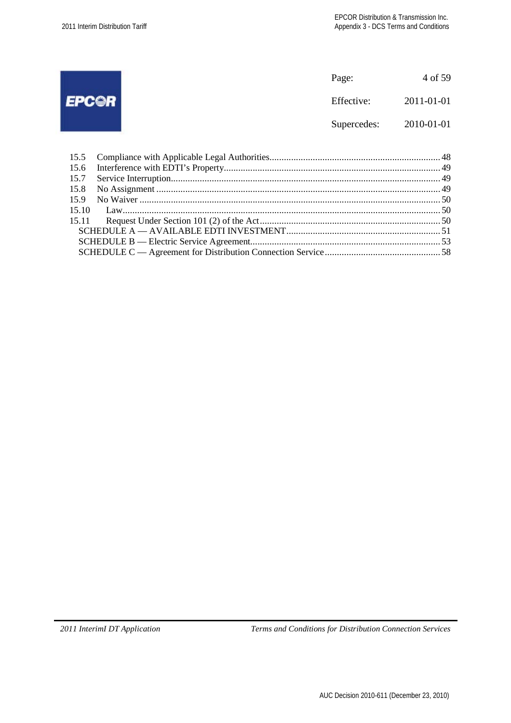|              | Page:       | 4 of 59    |
|--------------|-------------|------------|
| <b>EPCOR</b> | Effective:  | 2011-01-01 |
|              | Supercedes: | 2010-01-01 |
|              |             |            |
| 15.5         |             |            |
| 15.6         |             |            |
| 15.7         |             |            |
| 15.8         |             |            |
| 15.9         |             |            |
| 15 10        |             |            |
| 15.11        |             |            |

SCHEDULE A — AVAILABLE EDTI INVESTMENT................................................................ 51 SCHEDULE B — Electric Service Agreement............................................................................... 53 SCHEDULE C — Agreement for Distribution Connection Service................................................ 58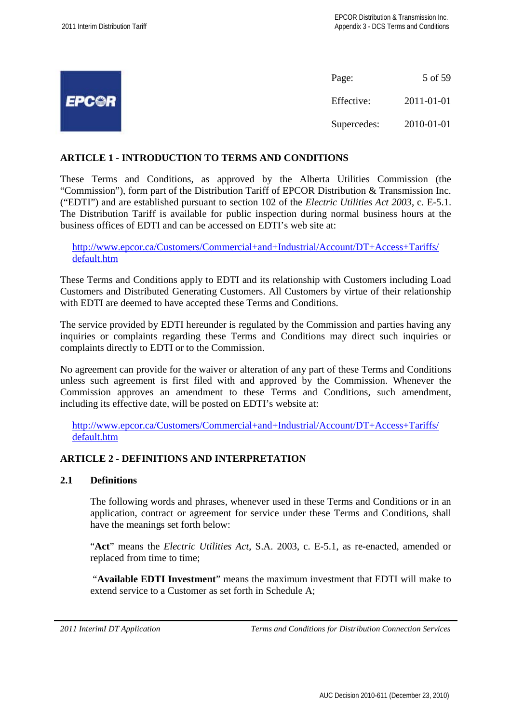|              | Page:       | 5 of 59    |
|--------------|-------------|------------|
| <b>EPC©R</b> | Effective:  | 2011-01-01 |
|              | Supercedes: | 2010-01-01 |

## **ARTICLE 1 - INTRODUCTION TO TERMS AND CONDITIONS**

These Terms and Conditions, as approved by the Alberta Utilities Commission (the "Commission"), form part of the Distribution Tariff of EPCOR Distribution & Transmission Inc. ("EDTI") and are established pursuant to section 102 of the *Electric Utilities Act 2003*, c. E-5.1. The Distribution Tariff is available for public inspection during normal business hours at the business offices of EDTI and can be accessed on EDTI's web site at:

http://www.epcor.ca/Customers/Commercial+and+Industrial/Account/DT+Access+Tariffs/ default.htm

These Terms and Conditions apply to EDTI and its relationship with Customers including Load Customers and Distributed Generating Customers. All Customers by virtue of their relationship with EDTI are deemed to have accepted these Terms and Conditions.

The service provided by EDTI hereunder is regulated by the Commission and parties having any inquiries or complaints regarding these Terms and Conditions may direct such inquiries or complaints directly to EDTI or to the Commission.

No agreement can provide for the waiver or alteration of any part of these Terms and Conditions unless such agreement is first filed with and approved by the Commission. Whenever the Commission approves an amendment to these Terms and Conditions, such amendment, including its effective date, will be posted on EDTI's website at:

http://www.epcor.ca/Customers/Commercial+and+Industrial/Account/DT+Access+Tariffs/ default.htm

## **ARTICLE 2 - DEFINITIONS AND INTERPRETATION**

#### **2.1 Definitions**

The following words and phrases, whenever used in these Terms and Conditions or in an application, contract or agreement for service under these Terms and Conditions, shall have the meanings set forth below:

"**Act**" means the *Electric Utilities Act*, S.A. 2003, c. E-5.1, as re-enacted, amended or replaced from time to time;

"**Available EDTI Investment**" means the maximum investment that EDTI will make to extend service to a Customer as set forth in Schedule A;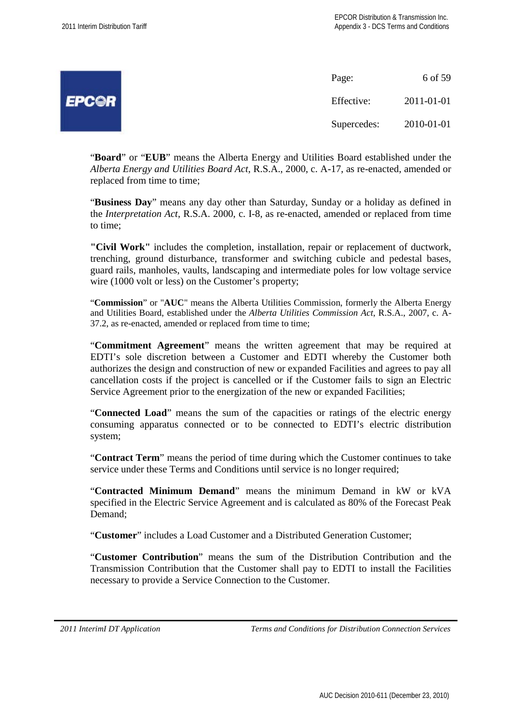| 7 D<br>es la |
|--------------|
|--------------|

Page: 6 of 59 Effective: 2011-01-01 Supercedes: 2010-01-01

"**Board**" or "**EUB**" means the Alberta Energy and Utilities Board established under the *Alberta Energy and Utilities Board Act*, R.S.A., 2000, c. A-17, as re-enacted, amended or replaced from time to time;

"**Business Day**" means any day other than Saturday, Sunday or a holiday as defined in the *Interpretation Act*, R.S.A. 2000, c. I-8, as re-enacted, amended or replaced from time to time;

**"Civil Work"** includes the completion, installation, repair or replacement of ductwork, trenching, ground disturbance, transformer and switching cubicle and pedestal bases, guard rails, manholes, vaults, landscaping and intermediate poles for low voltage service wire (1000 volt or less) on the Customer's property;

"**Commission**" or "**AUC**" means the Alberta Utilities Commission, formerly the Alberta Energy and Utilities Board, established under the *Alberta Utilities Commission Act*, R.S.A., 2007, c. A-37.2, as re-enacted, amended or replaced from time to time;

"**Commitment Agreement**" means the written agreement that may be required at EDTI's sole discretion between a Customer and EDTI whereby the Customer both authorizes the design and construction of new or expanded Facilities and agrees to pay all cancellation costs if the project is cancelled or if the Customer fails to sign an Electric Service Agreement prior to the energization of the new or expanded Facilities;

"**Connected Load**" means the sum of the capacities or ratings of the electric energy consuming apparatus connected or to be connected to EDTI's electric distribution system;

"**Contract Term**" means the period of time during which the Customer continues to take service under these Terms and Conditions until service is no longer required;

"**Contracted Minimum Demand**" means the minimum Demand in kW or kVA specified in the Electric Service Agreement and is calculated as 80% of the Forecast Peak Demand<sup>+</sup>

"**Customer**" includes a Load Customer and a Distributed Generation Customer;

"**Customer Contribution**" means the sum of the Distribution Contribution and the Transmission Contribution that the Customer shall pay to EDTI to install the Facilities necessary to provide a Service Connection to the Customer.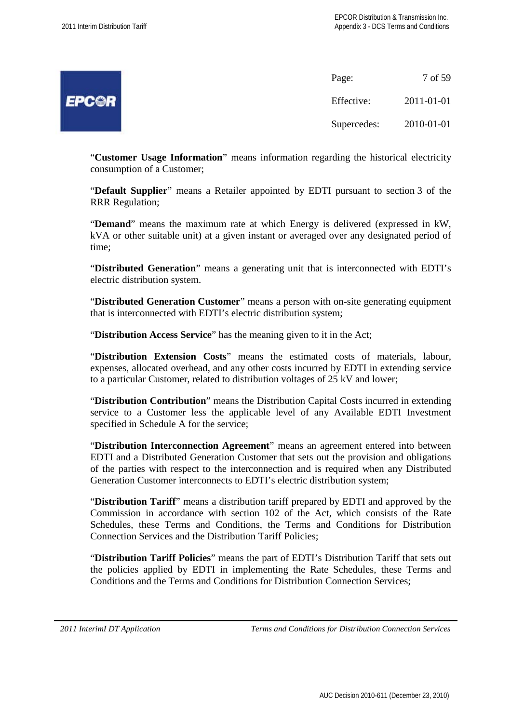| ಲ<br>early in |  |
|---------------|--|
|               |  |

| Page:       | 7 of 59    |  |
|-------------|------------|--|
| Effective:  | 2011-01-01 |  |
| Supercedes: | 2010-01-01 |  |

"**Customer Usage Information**" means information regarding the historical electricity consumption of a Customer;

"**Default Supplier**" means a Retailer appointed by EDTI pursuant to section 3 of the RRR Regulation;

"**Demand**" means the maximum rate at which Energy is delivered (expressed in kW, kVA or other suitable unit) at a given instant or averaged over any designated period of time;

"**Distributed Generation**" means a generating unit that is interconnected with EDTI's electric distribution system.

"**Distributed Generation Customer**" means a person with on-site generating equipment that is interconnected with EDTI's electric distribution system;

"**Distribution Access Service**" has the meaning given to it in the Act;

"**Distribution Extension Costs**" means the estimated costs of materials, labour, expenses, allocated overhead, and any other costs incurred by EDTI in extending service to a particular Customer, related to distribution voltages of 25 kV and lower;

"**Distribution Contribution**" means the Distribution Capital Costs incurred in extending service to a Customer less the applicable level of any Available EDTI Investment specified in Schedule A for the service;

"**Distribution Interconnection Agreement**" means an agreement entered into between EDTI and a Distributed Generation Customer that sets out the provision and obligations of the parties with respect to the interconnection and is required when any Distributed Generation Customer interconnects to EDTI's electric distribution system;

"**Distribution Tariff**" means a distribution tariff prepared by EDTI and approved by the Commission in accordance with section 102 of the Act, which consists of the Rate Schedules, these Terms and Conditions, the Terms and Conditions for Distribution Connection Services and the Distribution Tariff Policies;

"**Distribution Tariff Policies**" means the part of EDTI's Distribution Tariff that sets out the policies applied by EDTI in implementing the Rate Schedules, these Terms and Conditions and the Terms and Conditions for Distribution Connection Services;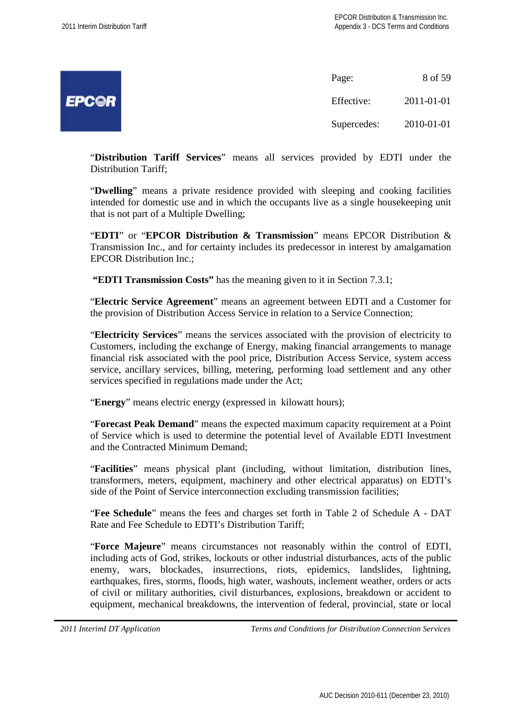| ال<br>and in<br>e |
|-------------------|
|                   |

Page: 8 of 59 Effective: 2011-01-01 Supercedes: 2010-01-01

"**Distribution Tariff Services**" means all services provided by EDTI under the Distribution Tariff;

"**Dwelling**" means a private residence provided with sleeping and cooking facilities intended for domestic use and in which the occupants live as a single housekeeping unit that is not part of a Multiple Dwelling;

"**EDTI**" or "**EPCOR Distribution & Transmission**" means EPCOR Distribution & Transmission Inc., and for certainty includes its predecessor in interest by amalgamation EPCOR Distribution Inc.;

**"EDTI Transmission Costs"** has the meaning given to it in Section 7.3.1;

"**Electric Service Agreement**" means an agreement between EDTI and a Customer for the provision of Distribution Access Service in relation to a Service Connection;

"**Electricity Services**" means the services associated with the provision of electricity to Customers, including the exchange of Energy, making financial arrangements to manage financial risk associated with the pool price, Distribution Access Service, system access service, ancillary services, billing, metering, performing load settlement and any other services specified in regulations made under the Act;

"**Energy**" means electric energy (expressed in kilowatt hours);

"**Forecast Peak Demand**" means the expected maximum capacity requirement at a Point of Service which is used to determine the potential level of Available EDTI Investment and the Contracted Minimum Demand;

"**Facilities**" means physical plant (including, without limitation, distribution lines, transformers, meters, equipment, machinery and other electrical apparatus) on EDTI's side of the Point of Service interconnection excluding transmission facilities;

"**Fee Schedule**" means the fees and charges set forth in Table 2 of Schedule A - DAT Rate and Fee Schedule to EDTI's Distribution Tariff;

"**Force Majeure**" means circumstances not reasonably within the control of EDTI, including acts of God, strikes, lockouts or other industrial disturbances, acts of the public enemy, wars, blockades, insurrections, riots, epidemics, landslides, lightning, earthquakes, fires, storms, floods, high water, washouts, inclement weather, orders or acts of civil or military authorities, civil disturbances, explosions, breakdown or accident to equipment, mechanical breakdowns, the intervention of federal, provincial, state or local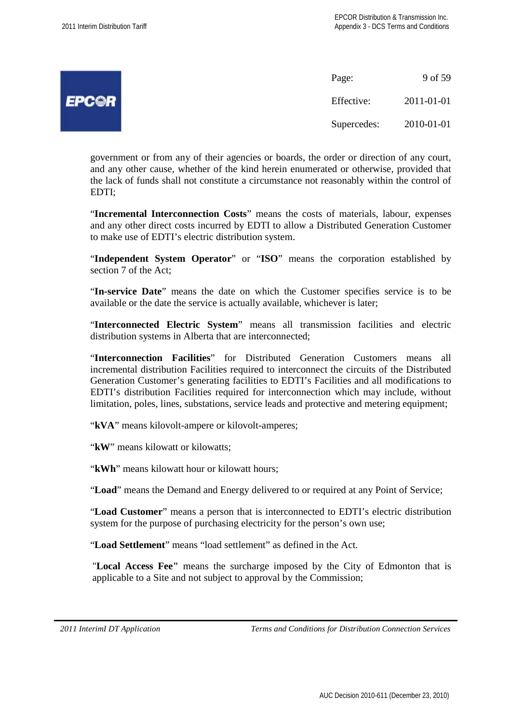|              | Page:       | 9 of 59    |
|--------------|-------------|------------|
| <b>EPCOR</b> | Effective:  | 2011-01-01 |
|              | Supercedes: | 2010-01-01 |

government or from any of their agencies or boards, the order or direction of any court, and any other cause, whether of the kind herein enumerated or otherwise, provided that the lack of funds shall not constitute a circumstance not reasonably within the control of EDTI;

"**Incremental Interconnection Costs**" means the costs of materials, labour, expenses and any other direct costs incurred by EDTI to allow a Distributed Generation Customer to make use of EDTI's electric distribution system.

"**Independent System Operator**" or "**ISO**" means the corporation established by section 7 of the Act;

"**In-service Date**" means the date on which the Customer specifies service is to be available or the date the service is actually available, whichever is later;

"**Interconnected Electric System**" means all transmission facilities and electric distribution systems in Alberta that are interconnected;

"**Interconnection Facilities**" for Distributed Generation Customers means all incremental distribution Facilities required to interconnect the circuits of the Distributed Generation Customer's generating facilities to EDTI's Facilities and all modifications to EDTI's distribution Facilities required for interconnection which may include, without limitation, poles, lines, substations, service leads and protective and metering equipment;

"**kVA**" means kilovolt-ampere or kilovolt-amperes;

"**kW**" means kilowatt or kilowatts:

"**kWh**" means kilowatt hour or kilowatt hours;

"**Load**" means the Demand and Energy delivered to or required at any Point of Service;

"**Load Customer**" means a person that is interconnected to EDTI's electric distribution system for the purpose of purchasing electricity for the person's own use;

"**Load Settlement**" means "load settlement" as defined in the Act.

"**Local Access Fee"** means the surcharge imposed by the City of Edmonton that is applicable to a Site and not subject to approval by the Commission;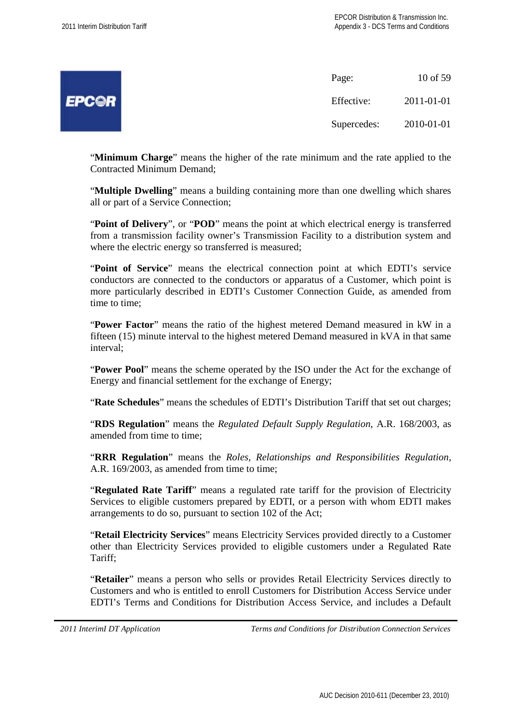EI

|                  | Page:       | 10 of 59   |
|------------------|-------------|------------|
| <sup>P</sup> C©R | Effective:  | 2011-01-01 |
|                  | Supercedes: | 2010-01-01 |

"**Minimum Charge**" means the higher of the rate minimum and the rate applied to the Contracted Minimum Demand;

"**Multiple Dwelling**" means a building containing more than one dwelling which shares all or part of a Service Connection;

"**Point of Delivery**", or "**POD**" means the point at which electrical energy is transferred from a transmission facility owner's Transmission Facility to a distribution system and where the electric energy so transferred is measured;

"**Point of Service**" means the electrical connection point at which EDTI's service conductors are connected to the conductors or apparatus of a Customer, which point is more particularly described in EDTI's Customer Connection Guide, as amended from time to time;

"**Power Factor**" means the ratio of the highest metered Demand measured in kW in a fifteen (15) minute interval to the highest metered Demand measured in kVA in that same interval;

"**Power Pool**" means the scheme operated by the ISO under the Act for the exchange of Energy and financial settlement for the exchange of Energy;

"**Rate Schedules**" means the schedules of EDTI's Distribution Tariff that set out charges;

"**RDS Regulation**" means the *Regulated Default Supply Regulation*, A.R. 168/2003, as amended from time to time;

"**RRR Regulation**" means the *Roles, Relationships and Responsibilities Regulation*, A.R. 169/2003, as amended from time to time;

"**Regulated Rate Tariff**" means a regulated rate tariff for the provision of Electricity Services to eligible customers prepared by EDTI, or a person with whom EDTI makes arrangements to do so, pursuant to section 102 of the Act;

"**Retail Electricity Services**" means Electricity Services provided directly to a Customer other than Electricity Services provided to eligible customers under a Regulated Rate Tariff;

"**Retailer**" means a person who sells or provides Retail Electricity Services directly to Customers and who is entitled to enroll Customers for Distribution Access Service under EDTI's Terms and Conditions for Distribution Access Service, and includes a Default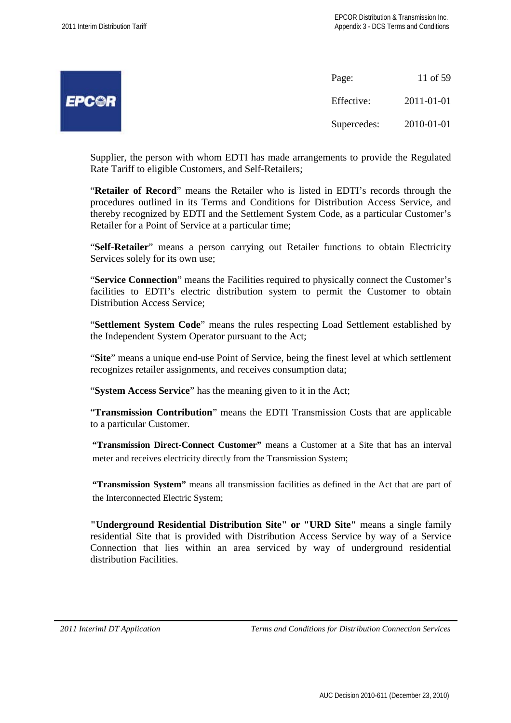11 of 59

 $2011 - 01 - 01$ 

 $2010 - 01 - 01$ 

|   | Page:       |
|---|-------------|
| R | Effective:  |
|   | Supercedes: |

Supplier, the person with whom EDTI has made arrangements to provide the Regulated Rate Tariff to eligible Customers, and Self-Retailers;

"**Retailer of Record**" means the Retailer who is listed in EDTI's records through the procedures outlined in its Terms and Conditions for Distribution Access Service, and thereby recognized by EDTI and the Settlement System Code, as a particular Customer's Retailer for a Point of Service at a particular time;

"**Self-Retailer**" means a person carrying out Retailer functions to obtain Electricity Services solely for its own use;

"**Service Connection**" means the Facilities required to physically connect the Customer's facilities to EDTI's electric distribution system to permit the Customer to obtain Distribution Access Service;

"**Settlement System Code**" means the rules respecting Load Settlement established by the Independent System Operator pursuant to the Act;

"**Site**" means a unique end-use Point of Service, being the finest level at which settlement recognizes retailer assignments, and receives consumption data;

"**System Access Service**" has the meaning given to it in the Act;

"**Transmission Contribution**" means the EDTI Transmission Costs that are applicable to a particular Customer.

**"Transmission Direct-Connect Customer"** means a Customer at a Site that has an interval meter and receives electricity directly from the Transmission System;

**"Transmission System"** means all transmission facilities as defined in the Act that are part of the Interconnected Electric System;

**"Underground Residential Distribution Site" or "URD Site"** means a single family residential Site that is provided with Distribution Access Service by way of a Service Connection that lies within an area serviced by way of underground residential distribution Facilities.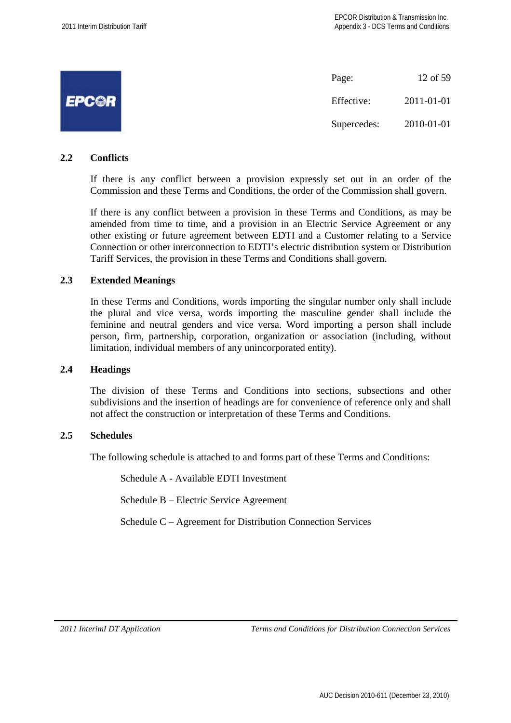|              | Page:       | 12 of 59   |
|--------------|-------------|------------|
| <b>EPCOR</b> | Effective:  | 2011-01-01 |
|              | Supercedes: | 2010-01-01 |

#### **2.2 Conflicts**

If there is any conflict between a provision expressly set out in an order of the Commission and these Terms and Conditions, the order of the Commission shall govern.

If there is any conflict between a provision in these Terms and Conditions, as may be amended from time to time, and a provision in an Electric Service Agreement or any other existing or future agreement between EDTI and a Customer relating to a Service Connection or other interconnection to EDTI's electric distribution system or Distribution Tariff Services, the provision in these Terms and Conditions shall govern.

## **2.3 Extended Meanings**

In these Terms and Conditions, words importing the singular number only shall include the plural and vice versa, words importing the masculine gender shall include the feminine and neutral genders and vice versa. Word importing a person shall include person, firm, partnership, corporation, organization or association (including, without limitation, individual members of any unincorporated entity).

#### **2.4 Headings**

The division of these Terms and Conditions into sections, subsections and other subdivisions and the insertion of headings are for convenience of reference only and shall not affect the construction or interpretation of these Terms and Conditions.

#### **2.5 Schedules**

The following schedule is attached to and forms part of these Terms and Conditions:

Schedule A - Available EDTI Investment

Schedule B – Electric Service Agreement

Schedule C – Agreement for Distribution Connection Services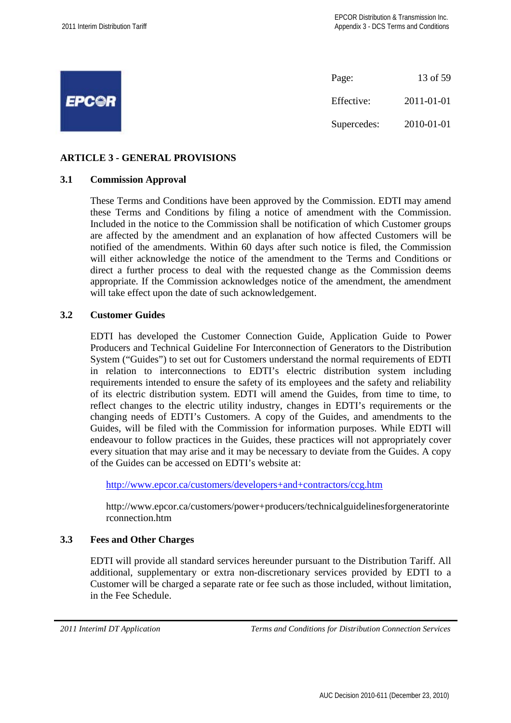

## **ARTICLE 3 - GENERAL PROVISIONS**

#### **3.1 Commission Approval**

These Terms and Conditions have been approved by the Commission. EDTI may amend these Terms and Conditions by filing a notice of amendment with the Commission. Included in the notice to the Commission shall be notification of which Customer groups are affected by the amendment and an explanation of how affected Customers will be notified of the amendments. Within 60 days after such notice is filed, the Commission will either acknowledge the notice of the amendment to the Terms and Conditions or direct a further process to deal with the requested change as the Commission deems appropriate. If the Commission acknowledges notice of the amendment, the amendment will take effect upon the date of such acknowledgement.

## **3.2 Customer Guides**

EDTI has developed the Customer Connection Guide, Application Guide to Power Producers and Technical Guideline For Interconnection of Generators to the Distribution System ("Guides") to set out for Customers understand the normal requirements of EDTI in relation to interconnections to EDTI's electric distribution system including requirements intended to ensure the safety of its employees and the safety and reliability of its electric distribution system. EDTI will amend the Guides, from time to time, to reflect changes to the electric utility industry, changes in EDTI's requirements or the changing needs of EDTI's Customers. A copy of the Guides, and amendments to the Guides, will be filed with the Commission for information purposes. While EDTI will endeavour to follow practices in the Guides, these practices will not appropriately cover every situation that may arise and it may be necessary to deviate from the Guides. A copy of the Guides can be accessed on EDTI's website at:

http://www.epcor.ca/customers/developers+and+contractors/ccg.htm

http://www.epcor.ca/customers/power+producers/technicalguidelinesforgeneratorinte rconnection.htm

#### **3.3 Fees and Other Charges**

EDTI will provide all standard services hereunder pursuant to the Distribution Tariff. All additional, supplementary or extra non-discretionary services provided by EDTI to a Customer will be charged a separate rate or fee such as those included, without limitation, in the Fee Schedule.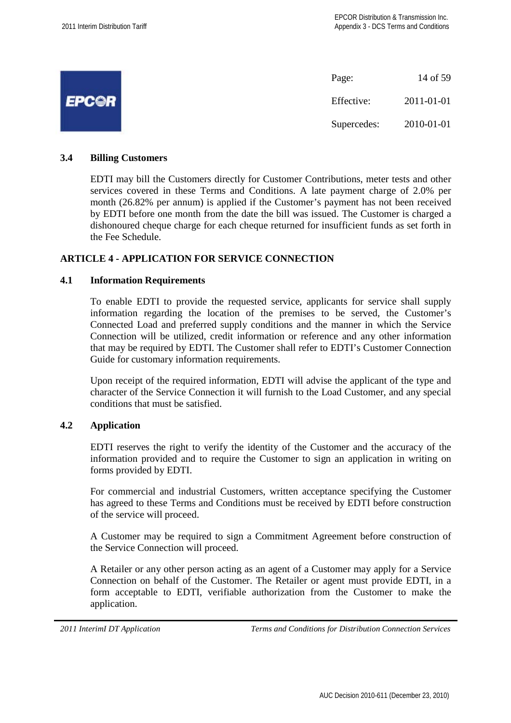|              | Page:       | 14 of 59   |
|--------------|-------------|------------|
| <b>EPCOR</b> | Effective:  | 2011-01-01 |
|              | Supercedes: | 2010-01-01 |

## **3.4 Billing Customers**

EDTI may bill the Customers directly for Customer Contributions, meter tests and other services covered in these Terms and Conditions. A late payment charge of 2.0% per month (26.82% per annum) is applied if the Customer's payment has not been received by EDTI before one month from the date the bill was issued. The Customer is charged a dishonoured cheque charge for each cheque returned for insufficient funds as set forth in the Fee Schedule.

## **ARTICLE 4 - APPLICATION FOR SERVICE CONNECTION**

## **4.1 Information Requirements**

To enable EDTI to provide the requested service, applicants for service shall supply information regarding the location of the premises to be served, the Customer's Connected Load and preferred supply conditions and the manner in which the Service Connection will be utilized, credit information or reference and any other information that may be required by EDTI. The Customer shall refer to EDTI's Customer Connection Guide for customary information requirements.

Upon receipt of the required information, EDTI will advise the applicant of the type and character of the Service Connection it will furnish to the Load Customer, and any special conditions that must be satisfied.

## **4.2 Application**

EDTI reserves the right to verify the identity of the Customer and the accuracy of the information provided and to require the Customer to sign an application in writing on forms provided by EDTI.

For commercial and industrial Customers, written acceptance specifying the Customer has agreed to these Terms and Conditions must be received by EDTI before construction of the service will proceed.

A Customer may be required to sign a Commitment Agreement before construction of the Service Connection will proceed.

A Retailer or any other person acting as an agent of a Customer may apply for a Service Connection on behalf of the Customer. The Retailer or agent must provide EDTI, in a form acceptable to EDTI, verifiable authorization from the Customer to make the application.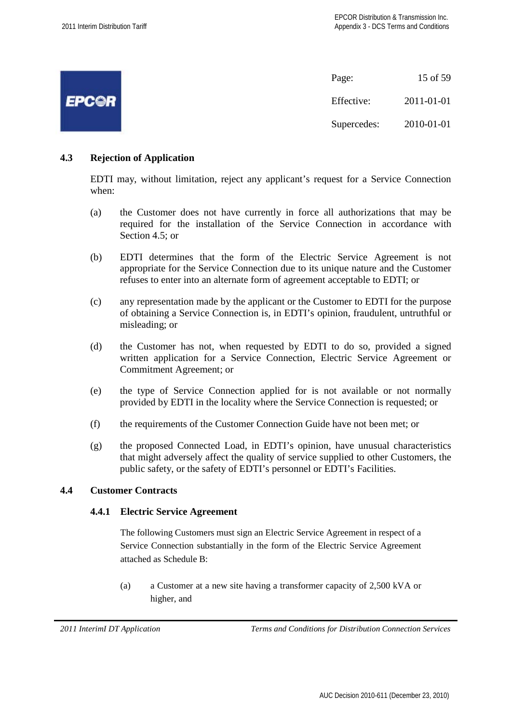|              | Page:       | 15 of 59   |
|--------------|-------------|------------|
| <b>EPC@R</b> | Effective:  | 2011-01-01 |
|              | Supercedes: | 2010-01-01 |

## **4.3 Rejection of Application**

EDTI may, without limitation, reject any applicant's request for a Service Connection when:

- (a) the Customer does not have currently in force all authorizations that may be required for the installation of the Service Connection in accordance with Section 4.5; or
- (b) EDTI determines that the form of the Electric Service Agreement is not appropriate for the Service Connection due to its unique nature and the Customer refuses to enter into an alternate form of agreement acceptable to EDTI; or
- (c) any representation made by the applicant or the Customer to EDTI for the purpose of obtaining a Service Connection is, in EDTI's opinion, fraudulent, untruthful or misleading; or
- (d) the Customer has not, when requested by EDTI to do so, provided a signed written application for a Service Connection, Electric Service Agreement or Commitment Agreement; or
- (e) the type of Service Connection applied for is not available or not normally provided by EDTI in the locality where the Service Connection is requested; or
- (f) the requirements of the Customer Connection Guide have not been met; or
- (g) the proposed Connected Load, in EDTI's opinion, have unusual characteristics that might adversely affect the quality of service supplied to other Customers, the public safety, or the safety of EDTI's personnel or EDTI's Facilities.

## **4.4 Customer Contracts**

## **4.4.1 Electric Service Agreement**

The following Customers must sign an Electric Service Agreement in respect of a Service Connection substantially in the form of the Electric Service Agreement attached as Schedule B:

(a) a Customer at a new site having a transformer capacity of 2,500 kVA or higher, and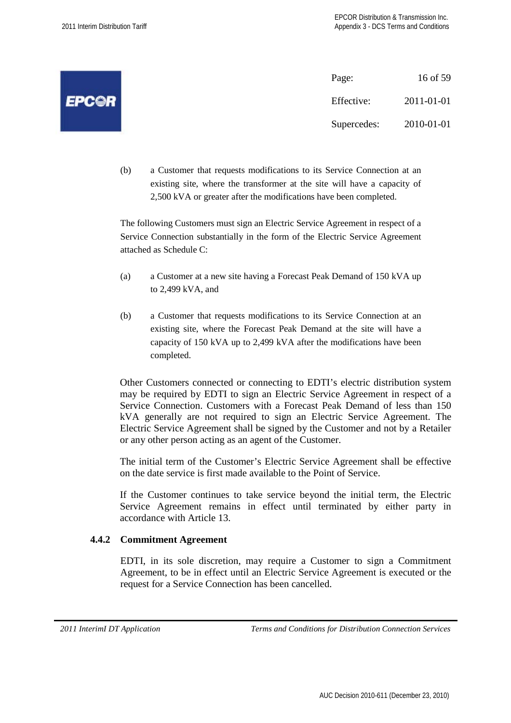|              | Page:       | 16 of 59   |
|--------------|-------------|------------|
| <b>EPC©R</b> | Effective:  | 2011-01-01 |
|              | Supercedes: | 2010-01-01 |

(b) a Customer that requests modifications to its Service Connection at an existing site, where the transformer at the site will have a capacity of 2,500 kVA or greater after the modifications have been completed.

The following Customers must sign an Electric Service Agreement in respect of a Service Connection substantially in the form of the Electric Service Agreement attached as Schedule C:

- (a) a Customer at a new site having a Forecast Peak Demand of 150 kVA up to 2,499 kVA, and
- (b) a Customer that requests modifications to its Service Connection at an existing site, where the Forecast Peak Demand at the site will have a capacity of 150 kVA up to 2,499 kVA after the modifications have been completed.

Other Customers connected or connecting to EDTI's electric distribution system may be required by EDTI to sign an Electric Service Agreement in respect of a Service Connection. Customers with a Forecast Peak Demand of less than 150 kVA generally are not required to sign an Electric Service Agreement. The Electric Service Agreement shall be signed by the Customer and not by a Retailer or any other person acting as an agent of the Customer.

The initial term of the Customer's Electric Service Agreement shall be effective on the date service is first made available to the Point of Service.

If the Customer continues to take service beyond the initial term, the Electric Service Agreement remains in effect until terminated by either party in accordance with Article 13.

## **4.4.2 Commitment Agreement**

EDTI, in its sole discretion, may require a Customer to sign a Commitment Agreement, to be in effect until an Electric Service Agreement is executed or the request for a Service Connection has been cancelled.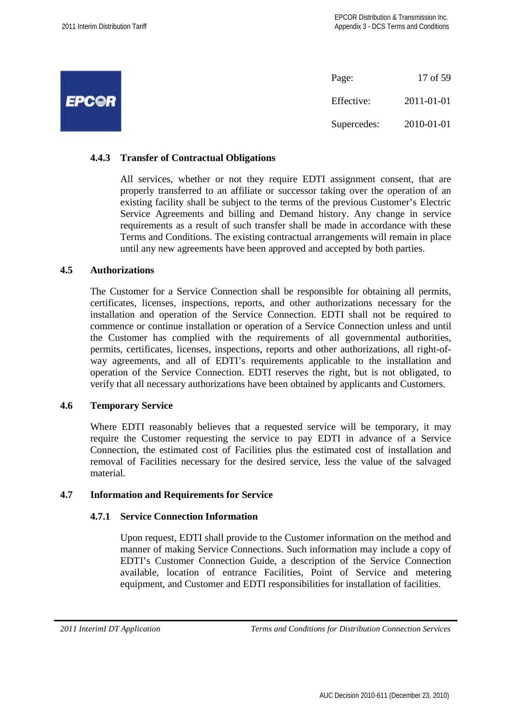|              | Page:       | 17 of 59   |
|--------------|-------------|------------|
| <b>EPCOR</b> | Effective:  | 2011-01-01 |
|              | Supercedes: | 2010-01-01 |

## **4.4.3 Transfer of Contractual Obligations**

All services, whether or not they require EDTI assignment consent, that are properly transferred to an affiliate or successor taking over the operation of an existing facility shall be subject to the terms of the previous Customer's Electric Service Agreements and billing and Demand history. Any change in service requirements as a result of such transfer shall be made in accordance with these Terms and Conditions. The existing contractual arrangements will remain in place until any new agreements have been approved and accepted by both parties.

#### **4.5 Authorizations**

The Customer for a Service Connection shall be responsible for obtaining all permits, certificates, licenses, inspections, reports, and other authorizations necessary for the installation and operation of the Service Connection. EDTI shall not be required to commence or continue installation or operation of a Service Connection unless and until the Customer has complied with the requirements of all governmental authorities, permits, certificates, licenses, inspections, reports and other authorizations, all right-ofway agreements, and all of EDTI's requirements applicable to the installation and operation of the Service Connection. EDTI reserves the right, but is not obligated, to verify that all necessary authorizations have been obtained by applicants and Customers.

#### **4.6 Temporary Service**

Where EDTI reasonably believes that a requested service will be temporary, it may require the Customer requesting the service to pay EDTI in advance of a Service Connection, the estimated cost of Facilities plus the estimated cost of installation and removal of Facilities necessary for the desired service, less the value of the salvaged material.

#### **4.7 Information and Requirements for Service**

#### **4.7.1 Service Connection Information**

Upon request, EDTI shall provide to the Customer information on the method and manner of making Service Connections. Such information may include a copy of EDTI's Customer Connection Guide, a description of the Service Connection available, location of entrance Facilities, Point of Service and metering equipment, and Customer and EDTI responsibilities for installation of facilities.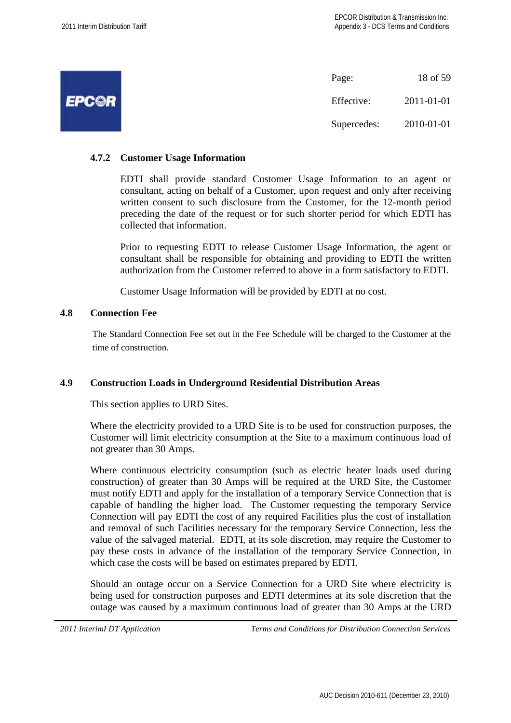|              | Page:       | 18 of 59   |
|--------------|-------------|------------|
| <b>EPC@R</b> | Effective:  | 2011-01-01 |
|              | Supercedes: | 2010-01-01 |

## **4.7.2 Customer Usage Information**

EDTI shall provide standard Customer Usage Information to an agent or consultant, acting on behalf of a Customer, upon request and only after receiving written consent to such disclosure from the Customer, for the 12-month period preceding the date of the request or for such shorter period for which EDTI has collected that information.

Prior to requesting EDTI to release Customer Usage Information, the agent or consultant shall be responsible for obtaining and providing to EDTI the written authorization from the Customer referred to above in a form satisfactory to EDTI.

Customer Usage Information will be provided by EDTI at no cost.

#### **4.8 Connection Fee**

The Standard Connection Fee set out in the Fee Schedule will be charged to the Customer at the time of construction.

## **4.9 Construction Loads in Underground Residential Distribution Areas**

This section applies to URD Sites.

Where the electricity provided to a URD Site is to be used for construction purposes, the Customer will limit electricity consumption at the Site to a maximum continuous load of not greater than 30 Amps.

Where continuous electricity consumption (such as electric heater loads used during construction) of greater than 30 Amps will be required at the URD Site, the Customer must notify EDTI and apply for the installation of a temporary Service Connection that is capable of handling the higher load. The Customer requesting the temporary Service Connection will pay EDTI the cost of any required Facilities plus the cost of installation and removal of such Facilities necessary for the temporary Service Connection, less the value of the salvaged material. EDTI, at its sole discretion, may require the Customer to pay these costs in advance of the installation of the temporary Service Connection, in which case the costs will be based on estimates prepared by EDTI.

Should an outage occur on a Service Connection for a URD Site where electricity is being used for construction purposes and EDTI determines at its sole discretion that the outage was caused by a maximum continuous load of greater than 30 Amps at the URD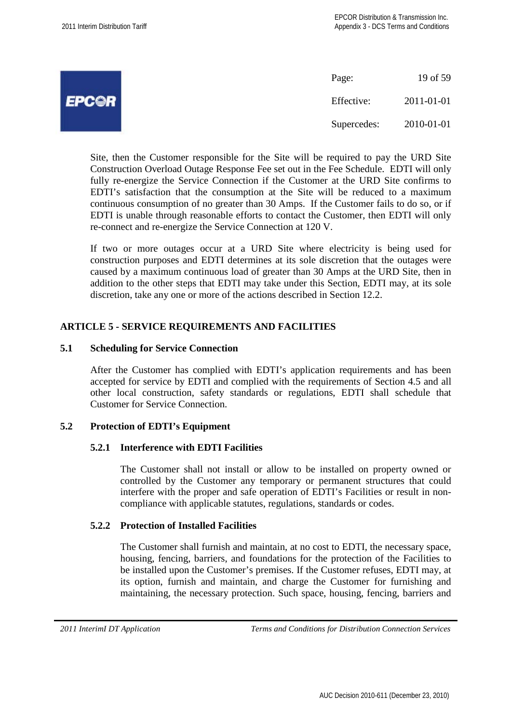|              | Page:       | 19 of 59   |
|--------------|-------------|------------|
| <b>EPCOR</b> | Effective:  | 2011-01-01 |
|              | Supercedes: | 2010-01-01 |

Site, then the Customer responsible for the Site will be required to pay the URD Site Construction Overload Outage Response Fee set out in the Fee Schedule. EDTI will only fully re-energize the Service Connection if the Customer at the URD Site confirms to EDTI's satisfaction that the consumption at the Site will be reduced to a maximum continuous consumption of no greater than 30 Amps. If the Customer fails to do so, or if EDTI is unable through reasonable efforts to contact the Customer, then EDTI will only re-connect and re-energize the Service Connection at 120 V.

If two or more outages occur at a URD Site where electricity is being used for construction purposes and EDTI determines at its sole discretion that the outages were caused by a maximum continuous load of greater than 30 Amps at the URD Site, then in addition to the other steps that EDTI may take under this Section, EDTI may, at its sole discretion, take any one or more of the actions described in Section 12.2.

## **ARTICLE 5 - SERVICE REQUIREMENTS AND FACILITIES**

## **5.1 Scheduling for Service Connection**

After the Customer has complied with EDTI's application requirements and has been accepted for service by EDTI and complied with the requirements of Section 4.5 and all other local construction, safety standards or regulations, EDTI shall schedule that Customer for Service Connection.

## **5.2 Protection of EDTI's Equipment**

#### **5.2.1 Interference with EDTI Facilities**

The Customer shall not install or allow to be installed on property owned or controlled by the Customer any temporary or permanent structures that could interfere with the proper and safe operation of EDTI's Facilities or result in noncompliance with applicable statutes, regulations, standards or codes.

#### **5.2.2 Protection of Installed Facilities**

The Customer shall furnish and maintain, at no cost to EDTI, the necessary space, housing, fencing, barriers, and foundations for the protection of the Facilities to be installed upon the Customer's premises. If the Customer refuses, EDTI may, at its option, furnish and maintain, and charge the Customer for furnishing and maintaining, the necessary protection. Such space, housing, fencing, barriers and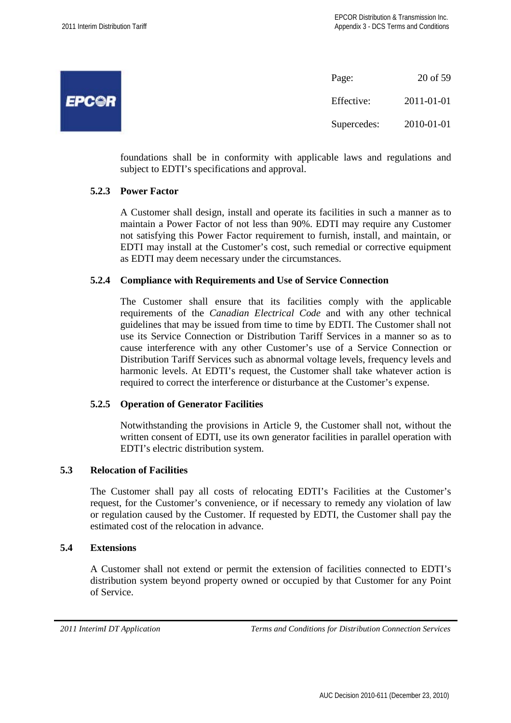**EPCOR** 

| Page:       | 20 of 59   |
|-------------|------------|
| Effective:  | 2011-01-01 |
| Supercedes: | 2010-01-01 |

foundations shall be in conformity with applicable laws and regulations and subject to EDTI's specifications and approval.

## **5.2.3 Power Factor**

A Customer shall design, install and operate its facilities in such a manner as to maintain a Power Factor of not less than 90%. EDTI may require any Customer not satisfying this Power Factor requirement to furnish, install, and maintain, or EDTI may install at the Customer's cost, such remedial or corrective equipment as EDTI may deem necessary under the circumstances.

## **5.2.4 Compliance with Requirements and Use of Service Connection**

The Customer shall ensure that its facilities comply with the applicable requirements of the *Canadian Electrical Code* and with any other technical guidelines that may be issued from time to time by EDTI. The Customer shall not use its Service Connection or Distribution Tariff Services in a manner so as to cause interference with any other Customer's use of a Service Connection or Distribution Tariff Services such as abnormal voltage levels, frequency levels and harmonic levels. At EDTI's request, the Customer shall take whatever action is required to correct the interference or disturbance at the Customer's expense.

#### **5.2.5 Operation of Generator Facilities**

Notwithstanding the provisions in Article 9, the Customer shall not, without the written consent of EDTI, use its own generator facilities in parallel operation with EDTI's electric distribution system.

#### **5.3 Relocation of Facilities**

The Customer shall pay all costs of relocating EDTI's Facilities at the Customer's request, for the Customer's convenience, or if necessary to remedy any violation of law or regulation caused by the Customer. If requested by EDTI, the Customer shall pay the estimated cost of the relocation in advance.

#### **5.4 Extensions**

A Customer shall not extend or permit the extension of facilities connected to EDTI's distribution system beyond property owned or occupied by that Customer for any Point of Service.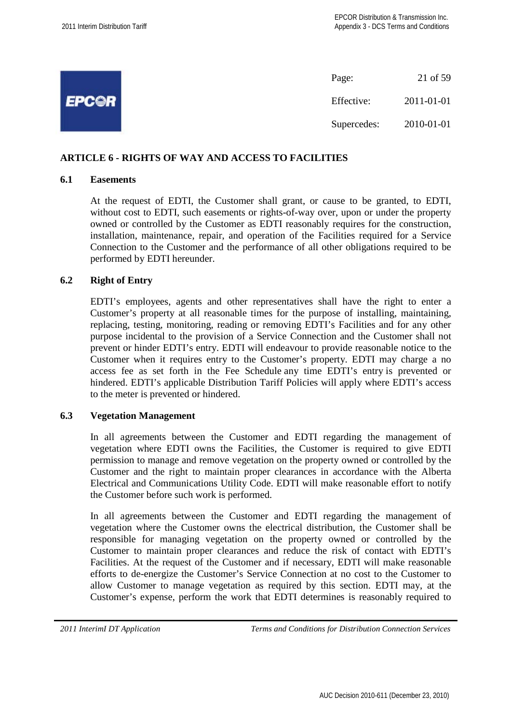|              | Page:       | 21 of 59   |
|--------------|-------------|------------|
| <b>EPCOR</b> | Effective:  | 2011-01-01 |
|              | Supercedes: | 2010-01-01 |

## **ARTICLE 6 - RIGHTS OF WAY AND ACCESS TO FACILITIES**

#### **6.1 Easements**

At the request of EDTI, the Customer shall grant, or cause to be granted, to EDTI, without cost to EDTI, such easements or rights-of-way over, upon or under the property owned or controlled by the Customer as EDTI reasonably requires for the construction, installation, maintenance, repair, and operation of the Facilities required for a Service Connection to the Customer and the performance of all other obligations required to be performed by EDTI hereunder.

## **6.2 Right of Entry**

EDTI's employees, agents and other representatives shall have the right to enter a Customer's property at all reasonable times for the purpose of installing, maintaining, replacing, testing, monitoring, reading or removing EDTI's Facilities and for any other purpose incidental to the provision of a Service Connection and the Customer shall not prevent or hinder EDTI's entry. EDTI will endeavour to provide reasonable notice to the Customer when it requires entry to the Customer's property. EDTI may charge a no access fee as set forth in the Fee Schedule any time EDTI's entry is prevented or hindered. EDTI's applicable Distribution Tariff Policies will apply where EDTI's access to the meter is prevented or hindered.

#### **6.3 Vegetation Management**

In all agreements between the Customer and EDTI regarding the management of vegetation where EDTI owns the Facilities, the Customer is required to give EDTI permission to manage and remove vegetation on the property owned or controlled by the Customer and the right to maintain proper clearances in accordance with the Alberta Electrical and Communications Utility Code. EDTI will make reasonable effort to notify the Customer before such work is performed.

In all agreements between the Customer and EDTI regarding the management of vegetation where the Customer owns the electrical distribution, the Customer shall be responsible for managing vegetation on the property owned or controlled by the Customer to maintain proper clearances and reduce the risk of contact with EDTI's Facilities. At the request of the Customer and if necessary, EDTI will make reasonable efforts to de-energize the Customer's Service Connection at no cost to the Customer to allow Customer to manage vegetation as required by this section. EDTI may, at the Customer's expense, perform the work that EDTI determines is reasonably required to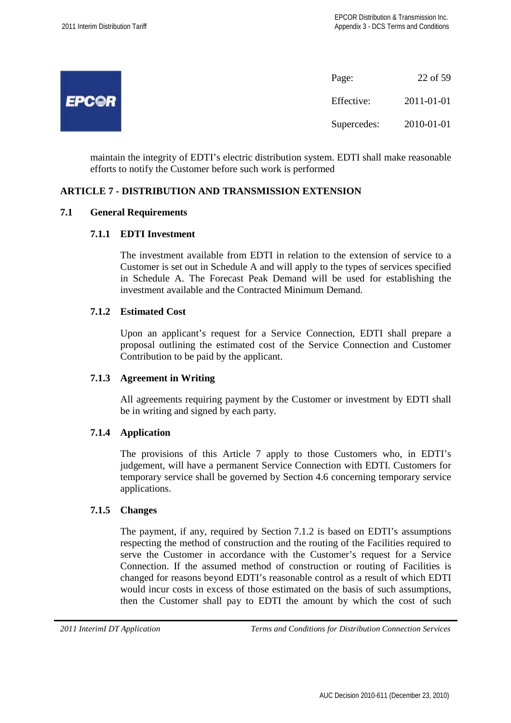

maintain the integrity of EDTI's electric distribution system. EDTI shall make reasonable efforts to notify the Customer before such work is performed

## **ARTICLE 7 - DISTRIBUTION AND TRANSMISSION EXTENSION**

## **7.1 General Requirements**

#### **7.1.1 EDTI Investment**

The investment available from EDTI in relation to the extension of service to a Customer is set out in Schedule A and will apply to the types of services specified in Schedule A. The Forecast Peak Demand will be used for establishing the investment available and the Contracted Minimum Demand.

#### **7.1.2 Estimated Cost**

Upon an applicant's request for a Service Connection, EDTI shall prepare a proposal outlining the estimated cost of the Service Connection and Customer Contribution to be paid by the applicant.

#### **7.1.3 Agreement in Writing**

All agreements requiring payment by the Customer or investment by EDTI shall be in writing and signed by each party.

#### **7.1.4 Application**

The provisions of this Article 7 apply to those Customers who, in EDTI's judgement, will have a permanent Service Connection with EDTI. Customers for temporary service shall be governed by Section 4.6 concerning temporary service applications.

#### **7.1.5 Changes**

The payment, if any, required by Section 7.1.2 is based on EDTI's assumptions respecting the method of construction and the routing of the Facilities required to serve the Customer in accordance with the Customer's request for a Service Connection. If the assumed method of construction or routing of Facilities is changed for reasons beyond EDTI's reasonable control as a result of which EDTI would incur costs in excess of those estimated on the basis of such assumptions, then the Customer shall pay to EDTI the amount by which the cost of such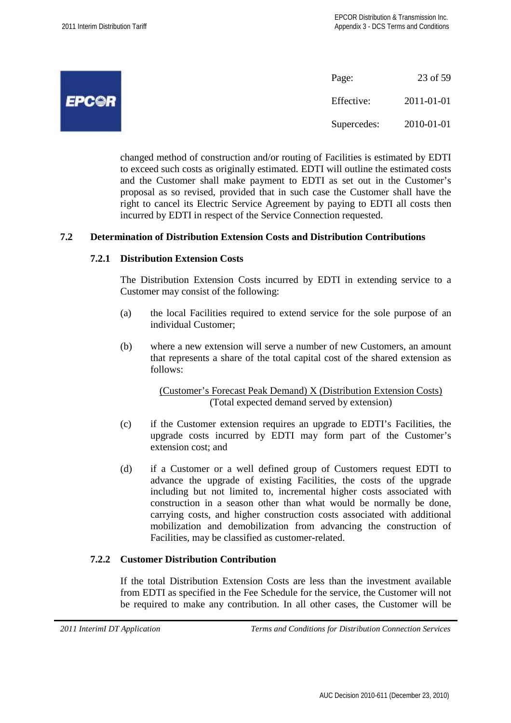|                     | Page:       | 23 of 59   |
|---------------------|-------------|------------|
| <i><b>EPC©R</b></i> | Effective:  | 2011-01-01 |
|                     | Supercedes: | 2010-01-01 |

changed method of construction and/or routing of Facilities is estimated by EDTI to exceed such costs as originally estimated. EDTI will outline the estimated costs and the Customer shall make payment to EDTI as set out in the Customer's proposal as so revised, provided that in such case the Customer shall have the right to cancel its Electric Service Agreement by paying to EDTI all costs then incurred by EDTI in respect of the Service Connection requested.

#### **7.2 Determination of Distribution Extension Costs and Distribution Contributions**

## **7.2.1 Distribution Extension Costs**

The Distribution Extension Costs incurred by EDTI in extending service to a Customer may consist of the following:

- (a) the local Facilities required to extend service for the sole purpose of an individual Customer;
- (b) where a new extension will serve a number of new Customers, an amount that represents a share of the total capital cost of the shared extension as follows:

(Customer's Forecast Peak Demand) X (Distribution Extension Costs) (Total expected demand served by extension)

- (c) if the Customer extension requires an upgrade to EDTI's Facilities, the upgrade costs incurred by EDTI may form part of the Customer's extension cost; and
- (d) if a Customer or a well defined group of Customers request EDTI to advance the upgrade of existing Facilities, the costs of the upgrade including but not limited to, incremental higher costs associated with construction in a season other than what would be normally be done, carrying costs, and higher construction costs associated with additional mobilization and demobilization from advancing the construction of Facilities, may be classified as customer-related.

#### **7.2.2 Customer Distribution Contribution**

If the total Distribution Extension Costs are less than the investment available from EDTI as specified in the Fee Schedule for the service, the Customer will not be required to make any contribution. In all other cases, the Customer will be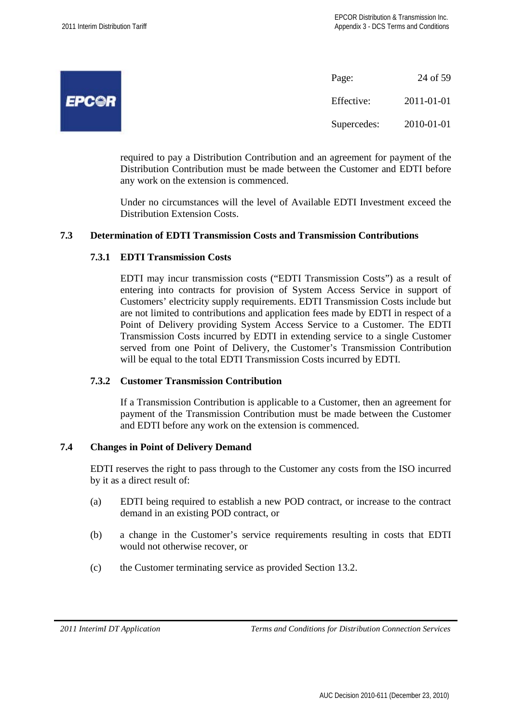|              | Page:    |
|--------------|----------|
| <b>EPC@R</b> | Effectiv |
|              | Superce  |

24 of 59  $xe: 2011-01-01$  $edes: 2010-01-01$ 

required to pay a Distribution Contribution and an agreement for payment of the Distribution Contribution must be made between the Customer and EDTI before any work on the extension is commenced.

Under no circumstances will the level of Available EDTI Investment exceed the Distribution Extension Costs.

## **7.3 Determination of EDTI Transmission Costs and Transmission Contributions**

## **7.3.1 EDTI Transmission Costs**

EDTI may incur transmission costs ("EDTI Transmission Costs") as a result of entering into contracts for provision of System Access Service in support of Customers' electricity supply requirements. EDTI Transmission Costs include but are not limited to contributions and application fees made by EDTI in respect of a Point of Delivery providing System Access Service to a Customer. The EDTI Transmission Costs incurred by EDTI in extending service to a single Customer served from one Point of Delivery, the Customer's Transmission Contribution will be equal to the total EDTI Transmission Costs incurred by EDTI.

#### **7.3.2 Customer Transmission Contribution**

If a Transmission Contribution is applicable to a Customer, then an agreement for payment of the Transmission Contribution must be made between the Customer and EDTI before any work on the extension is commenced.

## **7.4 Changes in Point of Delivery Demand**

EDTI reserves the right to pass through to the Customer any costs from the ISO incurred by it as a direct result of:

- (a) EDTI being required to establish a new POD contract, or increase to the contract demand in an existing POD contract, or
- (b) a change in the Customer's service requirements resulting in costs that EDTI would not otherwise recover, or
- (c) the Customer terminating service as provided Section 13.2.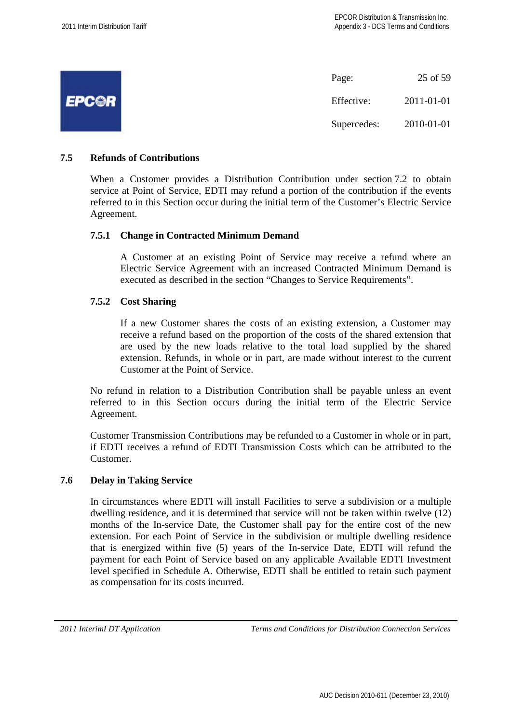|              | Page:       | 25 of 59   |
|--------------|-------------|------------|
| <b>EPCOR</b> | Effective:  | 2011-01-01 |
|              | Supercedes: | 2010-01-01 |

## **7.5 Refunds of Contributions**

When a Customer provides a Distribution Contribution under section 7.2 to obtain service at Point of Service, EDTI may refund a portion of the contribution if the events referred to in this Section occur during the initial term of the Customer's Electric Service Agreement.

#### **7.5.1 Change in Contracted Minimum Demand**

A Customer at an existing Point of Service may receive a refund where an Electric Service Agreement with an increased Contracted Minimum Demand is executed as described in the section "Changes to Service Requirements".

## **7.5.2 Cost Sharing**

If a new Customer shares the costs of an existing extension, a Customer may receive a refund based on the proportion of the costs of the shared extension that are used by the new loads relative to the total load supplied by the shared extension. Refunds, in whole or in part, are made without interest to the current Customer at the Point of Service.

No refund in relation to a Distribution Contribution shall be payable unless an event referred to in this Section occurs during the initial term of the Electric Service Agreement.

Customer Transmission Contributions may be refunded to a Customer in whole or in part, if EDTI receives a refund of EDTI Transmission Costs which can be attributed to the Customer.

#### **7.6 Delay in Taking Service**

In circumstances where EDTI will install Facilities to serve a subdivision or a multiple dwelling residence, and it is determined that service will not be taken within twelve (12) months of the In-service Date, the Customer shall pay for the entire cost of the new extension. For each Point of Service in the subdivision or multiple dwelling residence that is energized within five (5) years of the In-service Date, EDTI will refund the payment for each Point of Service based on any applicable Available EDTI Investment level specified in Schedule A. Otherwise, EDTI shall be entitled to retain such payment as compensation for its costs incurred.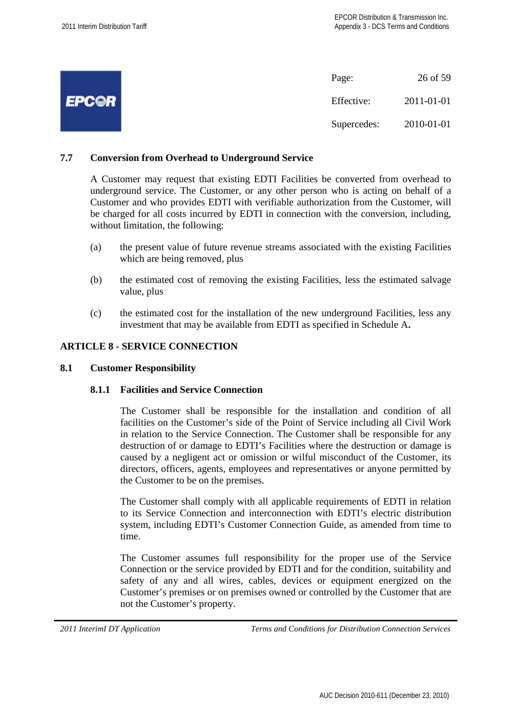|              | Page:       | 26 of 59   |
|--------------|-------------|------------|
| <b>EPCOR</b> | Effective:  | 2011-01-01 |
|              | Supercedes: | 2010-01-01 |

## **7.7 Conversion from Overhead to Underground Service**

A Customer may request that existing EDTI Facilities be converted from overhead to underground service. The Customer, or any other person who is acting on behalf of a Customer and who provides EDTI with verifiable authorization from the Customer, will be charged for all costs incurred by EDTI in connection with the conversion, including, without limitation, the following:

- (a) the present value of future revenue streams associated with the existing Facilities which are being removed, plus
- (b) the estimated cost of removing the existing Facilities, less the estimated salvage value, plus
- (c) the estimated cost for the installation of the new underground Facilities, less any investment that may be available from EDTI as specified in Schedule A**.**

## **ARTICLE 8 - SERVICE CONNECTION**

#### **8.1 Customer Responsibility**

#### **8.1.1 Facilities and Service Connection**

The Customer shall be responsible for the installation and condition of all facilities on the Customer's side of the Point of Service including all Civil Work in relation to the Service Connection. The Customer shall be responsible for any destruction of or damage to EDTI's Facilities where the destruction or damage is caused by a negligent act or omission or wilful misconduct of the Customer, its directors, officers, agents, employees and representatives or anyone permitted by the Customer to be on the premises.

The Customer shall comply with all applicable requirements of EDTI in relation to its Service Connection and interconnection with EDTI's electric distribution system, including EDTI's Customer Connection Guide, as amended from time to time.

The Customer assumes full responsibility for the proper use of the Service Connection or the service provided by EDTI and for the condition, suitability and safety of any and all wires, cables, devices or equipment energized on the Customer's premises or on premises owned or controlled by the Customer that are not the Customer's property.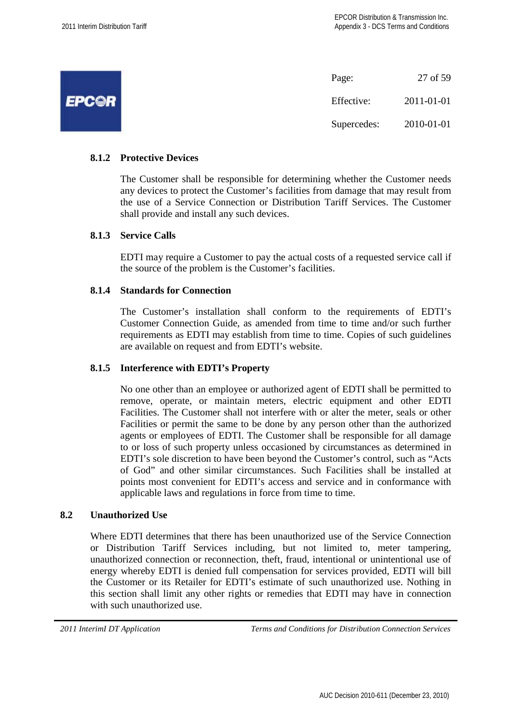|              | Page:       | 27 of 59   |
|--------------|-------------|------------|
| <b>EPCOR</b> | Effective:  | 2011-01-01 |
|              | Supercedes: | 2010-01-01 |

## **8.1.2 Protective Devices**

The Customer shall be responsible for determining whether the Customer needs any devices to protect the Customer's facilities from damage that may result from the use of a Service Connection or Distribution Tariff Services. The Customer shall provide and install any such devices.

## **8.1.3 Service Calls**

EDTI may require a Customer to pay the actual costs of a requested service call if the source of the problem is the Customer's facilities.

## **8.1.4 Standards for Connection**

The Customer's installation shall conform to the requirements of EDTI's Customer Connection Guide, as amended from time to time and/or such further requirements as EDTI may establish from time to time. Copies of such guidelines are available on request and from EDTI's website.

#### **8.1.5 Interference with EDTI's Property**

No one other than an employee or authorized agent of EDTI shall be permitted to remove, operate, or maintain meters, electric equipment and other EDTI Facilities. The Customer shall not interfere with or alter the meter, seals or other Facilities or permit the same to be done by any person other than the authorized agents or employees of EDTI. The Customer shall be responsible for all damage to or loss of such property unless occasioned by circumstances as determined in EDTI's sole discretion to have been beyond the Customer's control, such as "Acts of God" and other similar circumstances. Such Facilities shall be installed at points most convenient for EDTI's access and service and in conformance with applicable laws and regulations in force from time to time.

## **8.2 Unauthorized Use**

Where EDTI determines that there has been unauthorized use of the Service Connection or Distribution Tariff Services including, but not limited to, meter tampering, unauthorized connection or reconnection, theft, fraud, intentional or unintentional use of energy whereby EDTI is denied full compensation for services provided, EDTI will bill the Customer or its Retailer for EDTI's estimate of such unauthorized use. Nothing in this section shall limit any other rights or remedies that EDTI may have in connection with such unauthorized use.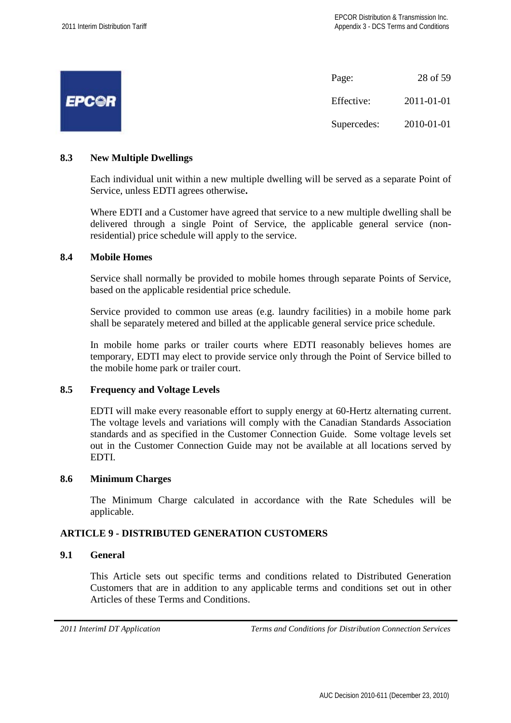|              | Page:       | 28 of 59   |
|--------------|-------------|------------|
| <b>EPCOR</b> | Effective:  | 2011-01-01 |
|              | Supercedes: | 2010-01-01 |

## **8.3 New Multiple Dwellings**

Each individual unit within a new multiple dwelling will be served as a separate Point of Service, unless EDTI agrees otherwise**.**

Where EDTI and a Customer have agreed that service to a new multiple dwelling shall be delivered through a single Point of Service, the applicable general service (nonresidential) price schedule will apply to the service.

#### **8.4 Mobile Homes**

Service shall normally be provided to mobile homes through separate Points of Service, based on the applicable residential price schedule.

Service provided to common use areas (e.g. laundry facilities) in a mobile home park shall be separately metered and billed at the applicable general service price schedule.

In mobile home parks or trailer courts where EDTI reasonably believes homes are temporary, EDTI may elect to provide service only through the Point of Service billed to the mobile home park or trailer court.

## **8.5 Frequency and Voltage Levels**

EDTI will make every reasonable effort to supply energy at 60-Hertz alternating current. The voltage levels and variations will comply with the Canadian Standards Association standards and as specified in the Customer Connection Guide. Some voltage levels set out in the Customer Connection Guide may not be available at all locations served by EDTI.

#### **8.6 Minimum Charges**

The Minimum Charge calculated in accordance with the Rate Schedules will be applicable.

## **ARTICLE 9 - DISTRIBUTED GENERATION CUSTOMERS**

#### **9.1 General**

This Article sets out specific terms and conditions related to Distributed Generation Customers that are in addition to any applicable terms and conditions set out in other Articles of these Terms and Conditions.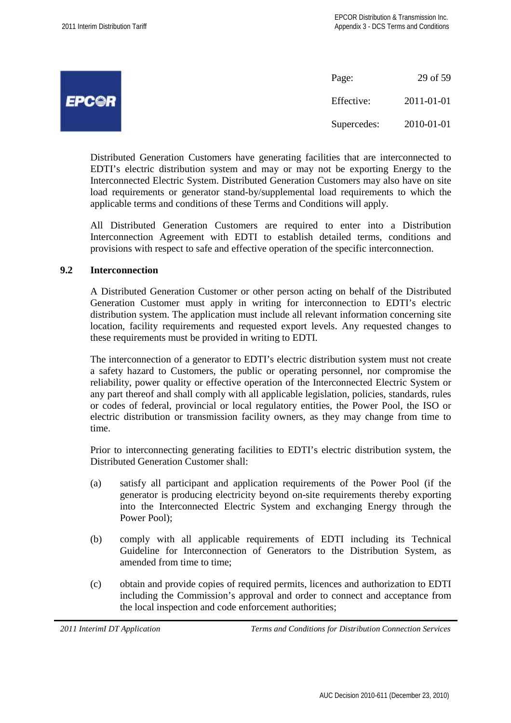|              | Page:       | 29 of 59   |
|--------------|-------------|------------|
| <b>EPC©R</b> | Effective:  | 2011-01-01 |
|              | Supercedes: | 2010-01-01 |

Distributed Generation Customers have generating facilities that are interconnected to EDTI's electric distribution system and may or may not be exporting Energy to the Interconnected Electric System. Distributed Generation Customers may also have on site load requirements or generator stand-by/supplemental load requirements to which the applicable terms and conditions of these Terms and Conditions will apply.

All Distributed Generation Customers are required to enter into a Distribution Interconnection Agreement with EDTI to establish detailed terms, conditions and provisions with respect to safe and effective operation of the specific interconnection.

## **9.2 Interconnection**

A Distributed Generation Customer or other person acting on behalf of the Distributed Generation Customer must apply in writing for interconnection to EDTI's electric distribution system. The application must include all relevant information concerning site location, facility requirements and requested export levels. Any requested changes to these requirements must be provided in writing to EDTI.

The interconnection of a generator to EDTI's electric distribution system must not create a safety hazard to Customers, the public or operating personnel, nor compromise the reliability, power quality or effective operation of the Interconnected Electric System or any part thereof and shall comply with all applicable legislation, policies, standards, rules or codes of federal, provincial or local regulatory entities, the Power Pool, the ISO or electric distribution or transmission facility owners, as they may change from time to time.

Prior to interconnecting generating facilities to EDTI's electric distribution system, the Distributed Generation Customer shall:

- (a) satisfy all participant and application requirements of the Power Pool (if the generator is producing electricity beyond on-site requirements thereby exporting into the Interconnected Electric System and exchanging Energy through the Power Pool);
- (b) comply with all applicable requirements of EDTI including its Technical Guideline for Interconnection of Generators to the Distribution System, as amended from time to time;
- (c) obtain and provide copies of required permits, licences and authorization to EDTI including the Commission's approval and order to connect and acceptance from the local inspection and code enforcement authorities;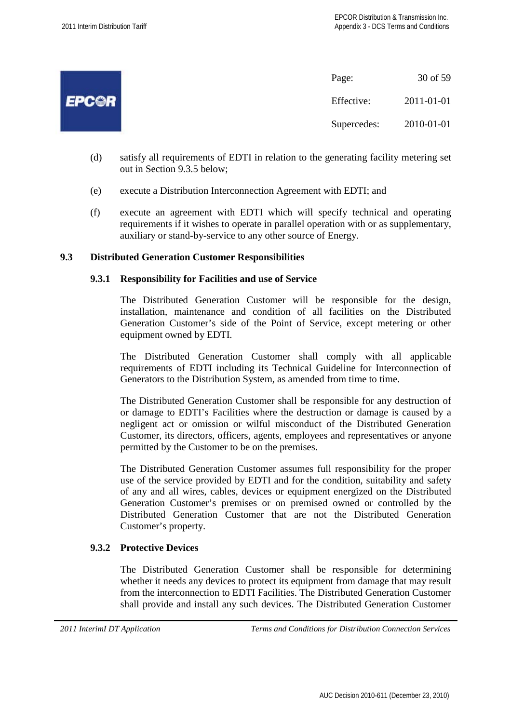

- (d) satisfy all requirements of EDTI in relation to the generating facility metering set out in Section 9.3.5 below;
- (e) execute a Distribution Interconnection Agreement with EDTI; and
- (f) execute an agreement with EDTI which will specify technical and operating requirements if it wishes to operate in parallel operation with or as supplementary, auxiliary or stand-by-service to any other source of Energy.

## **9.3 Distributed Generation Customer Responsibilities**

#### **9.3.1 Responsibility for Facilities and use of Service**

The Distributed Generation Customer will be responsible for the design, installation, maintenance and condition of all facilities on the Distributed Generation Customer's side of the Point of Service, except metering or other equipment owned by EDTI.

The Distributed Generation Customer shall comply with all applicable requirements of EDTI including its Technical Guideline for Interconnection of Generators to the Distribution System, as amended from time to time.

The Distributed Generation Customer shall be responsible for any destruction of or damage to EDTI's Facilities where the destruction or damage is caused by a negligent act or omission or wilful misconduct of the Distributed Generation Customer, its directors, officers, agents, employees and representatives or anyone permitted by the Customer to be on the premises.

The Distributed Generation Customer assumes full responsibility for the proper use of the service provided by EDTI and for the condition, suitability and safety of any and all wires, cables, devices or equipment energized on the Distributed Generation Customer's premises or on premised owned or controlled by the Distributed Generation Customer that are not the Distributed Generation Customer's property.

#### **9.3.2 Protective Devices**

The Distributed Generation Customer shall be responsible for determining whether it needs any devices to protect its equipment from damage that may result from the interconnection to EDTI Facilities. The Distributed Generation Customer shall provide and install any such devices. The Distributed Generation Customer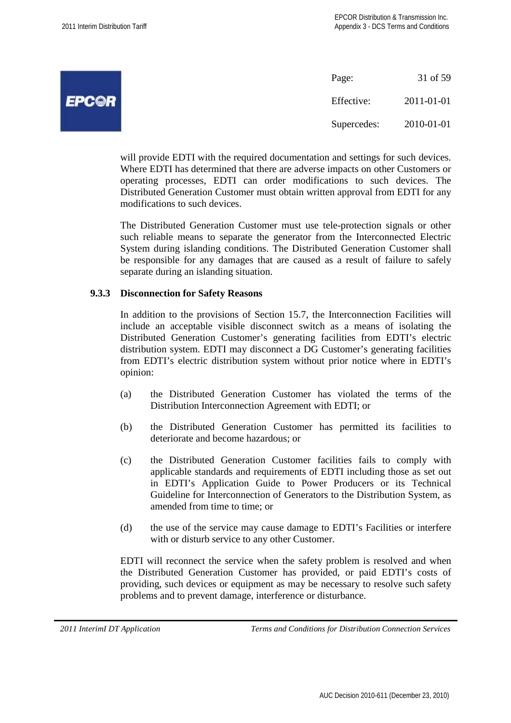|              | Page:       | 31 of 59   |
|--------------|-------------|------------|
| <b>EPCOR</b> | Effective:  | 2011-01-01 |
|              | Supercedes: | 2010-01-01 |

will provide EDTI with the required documentation and settings for such devices. Where EDTI has determined that there are adverse impacts on other Customers or operating processes, EDTI can order modifications to such devices. The Distributed Generation Customer must obtain written approval from EDTI for any modifications to such devices.

The Distributed Generation Customer must use tele-protection signals or other such reliable means to separate the generator from the Interconnected Electric System during islanding conditions. The Distributed Generation Customer shall be responsible for any damages that are caused as a result of failure to safely separate during an islanding situation.

#### **9.3.3 Disconnection for Safety Reasons**

In addition to the provisions of Section 15.7, the Interconnection Facilities will include an acceptable visible disconnect switch as a means of isolating the Distributed Generation Customer's generating facilities from EDTI's electric distribution system. EDTI may disconnect a DG Customer's generating facilities from EDTI's electric distribution system without prior notice where in EDTI's opinion:

- (a) the Distributed Generation Customer has violated the terms of the Distribution Interconnection Agreement with EDTI; or
- (b) the Distributed Generation Customer has permitted its facilities to deteriorate and become hazardous; or
- (c) the Distributed Generation Customer facilities fails to comply with applicable standards and requirements of EDTI including those as set out in EDTI's Application Guide to Power Producers or its Technical Guideline for Interconnection of Generators to the Distribution System, as amended from time to time; or
- (d) the use of the service may cause damage to EDTI's Facilities or interfere with or disturb service to any other Customer.

EDTI will reconnect the service when the safety problem is resolved and when the Distributed Generation Customer has provided, or paid EDTI's costs of providing, such devices or equipment as may be necessary to resolve such safety problems and to prevent damage, interference or disturbance.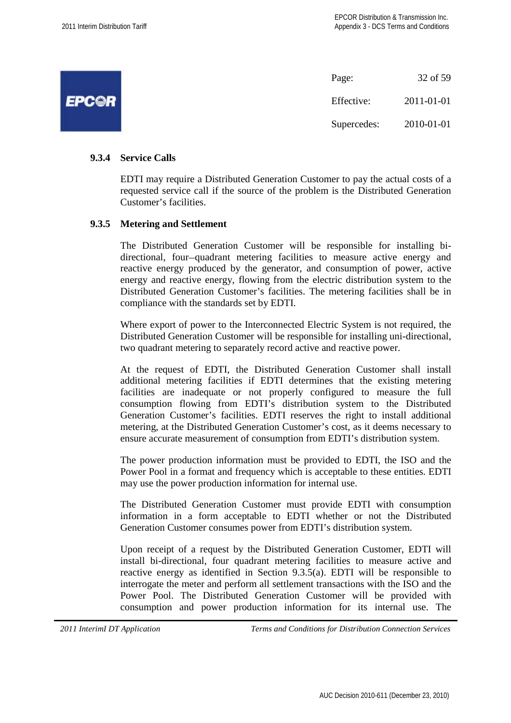|              | Page:       | 32 of 59   |
|--------------|-------------|------------|
| <b>EPCOR</b> | Effective:  | 2011-01-01 |
|              | Supercedes: | 2010-01-01 |

## **9.3.4 Service Calls**

EDTI may require a Distributed Generation Customer to pay the actual costs of a requested service call if the source of the problem is the Distributed Generation Customer's facilities.

#### **9.3.5 Metering and Settlement**

The Distributed Generation Customer will be responsible for installing bidirectional, four-quadrant metering facilities to measure active energy and reactive energy produced by the generator, and consumption of power, active energy and reactive energy, flowing from the electric distribution system to the Distributed Generation Customer's facilities. The metering facilities shall be in compliance with the standards set by EDTI.

Where export of power to the Interconnected Electric System is not required, the Distributed Generation Customer will be responsible for installing uni-directional, two quadrant metering to separately record active and reactive power.

At the request of EDTI, the Distributed Generation Customer shall install additional metering facilities if EDTI determines that the existing metering facilities are inadequate or not properly configured to measure the full consumption flowing from EDTI's distribution system to the Distributed Generation Customer's facilities. EDTI reserves the right to install additional metering, at the Distributed Generation Customer's cost, as it deems necessary to ensure accurate measurement of consumption from EDTI's distribution system.

The power production information must be provided to EDTI, the ISO and the Power Pool in a format and frequency which is acceptable to these entities. EDTI may use the power production information for internal use.

The Distributed Generation Customer must provide EDTI with consumption information in a form acceptable to EDTI whether or not the Distributed Generation Customer consumes power from EDTI's distribution system.

Upon receipt of a request by the Distributed Generation Customer, EDTI will install bi-directional, four quadrant metering facilities to measure active and reactive energy as identified in Section 9.3.5(a). EDTI will be responsible to interrogate the meter and perform all settlement transactions with the ISO and the Power Pool. The Distributed Generation Customer will be provided with consumption and power production information for its internal use. The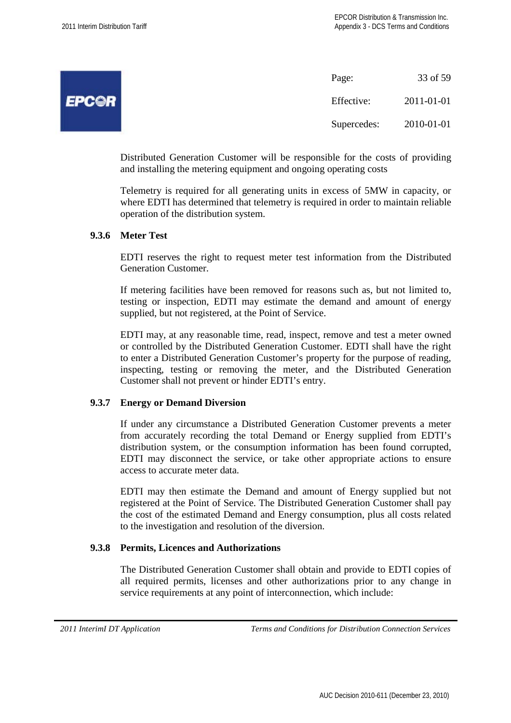| Page:       | 33 of 59   |
|-------------|------------|
| Effective:  | 2011-01-01 |
| Supercedes: | 2010-01-01 |

Distributed Generation Customer will be responsible for the costs of providing and installing the metering equipment and ongoing operating costs

Telemetry is required for all generating units in excess of 5MW in capacity, or where EDTI has determined that telemetry is required in order to maintain reliable operation of the distribution system.

## **9.3.6 Meter Test**

EDTI reserves the right to request meter test information from the Distributed Generation Customer.

If metering facilities have been removed for reasons such as, but not limited to, testing or inspection, EDTI may estimate the demand and amount of energy supplied, but not registered, at the Point of Service.

EDTI may, at any reasonable time, read, inspect, remove and test a meter owned or controlled by the Distributed Generation Customer. EDTI shall have the right to enter a Distributed Generation Customer's property for the purpose of reading, inspecting, testing or removing the meter, and the Distributed Generation Customer shall not prevent or hinder EDTI's entry.

## **9.3.7 Energy or Demand Diversion**

If under any circumstance a Distributed Generation Customer prevents a meter from accurately recording the total Demand or Energy supplied from EDTI's distribution system, or the consumption information has been found corrupted, EDTI may disconnect the service, or take other appropriate actions to ensure access to accurate meter data.

EDTI may then estimate the Demand and amount of Energy supplied but not registered at the Point of Service. The Distributed Generation Customer shall pay the cost of the estimated Demand and Energy consumption, plus all costs related to the investigation and resolution of the diversion.

#### **9.3.8 Permits, Licences and Authorizations**

The Distributed Generation Customer shall obtain and provide to EDTI copies of all required permits, licenses and other authorizations prior to any change in service requirements at any point of interconnection, which include: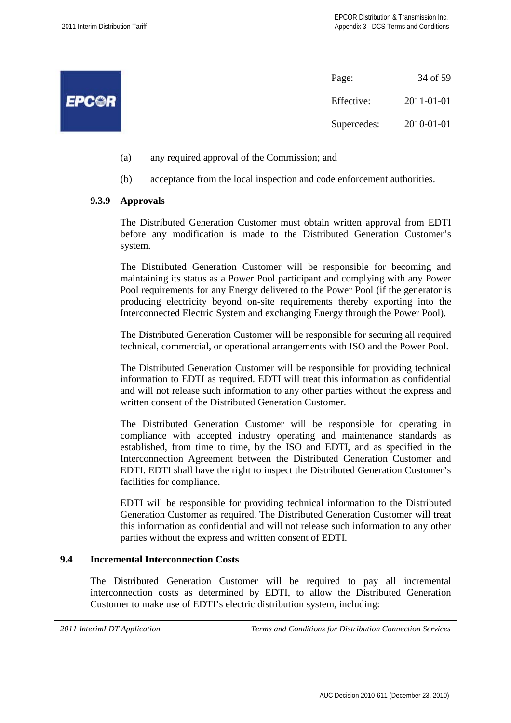|              | 34 of 59<br>Page:         |  |
|--------------|---------------------------|--|
| <b>EPCOR</b> | 2011-01-01<br>Effective:  |  |
|              | 2010-01-01<br>Supercedes: |  |

- (a) any required approval of the Commission; and
- (b) acceptance from the local inspection and code enforcement authorities.

## **9.3.9 Approvals**

The Distributed Generation Customer must obtain written approval from EDTI before any modification is made to the Distributed Generation Customer's system.

The Distributed Generation Customer will be responsible for becoming and maintaining its status as a Power Pool participant and complying with any Power Pool requirements for any Energy delivered to the Power Pool (if the generator is producing electricity beyond on-site requirements thereby exporting into the Interconnected Electric System and exchanging Energy through the Power Pool).

The Distributed Generation Customer will be responsible for securing all required technical, commercial, or operational arrangements with ISO and the Power Pool.

The Distributed Generation Customer will be responsible for providing technical information to EDTI as required. EDTI will treat this information as confidential and will not release such information to any other parties without the express and written consent of the Distributed Generation Customer.

The Distributed Generation Customer will be responsible for operating in compliance with accepted industry operating and maintenance standards as established, from time to time, by the ISO and EDTI, and as specified in the Interconnection Agreement between the Distributed Generation Customer and EDTI. EDTI shall have the right to inspect the Distributed Generation Customer's facilities for compliance.

EDTI will be responsible for providing technical information to the Distributed Generation Customer as required. The Distributed Generation Customer will treat this information as confidential and will not release such information to any other parties without the express and written consent of EDTI.

#### **9.4 Incremental Interconnection Costs**

The Distributed Generation Customer will be required to pay all incremental interconnection costs as determined by EDTI, to allow the Distributed Generation Customer to make use of EDTI's electric distribution system, including: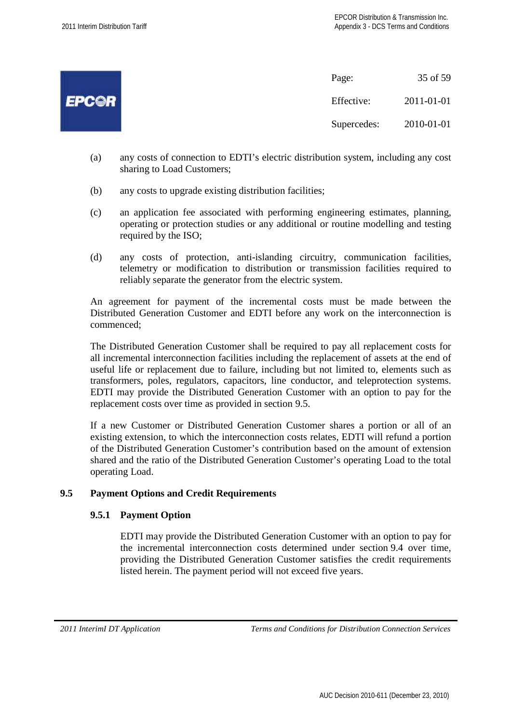|              | Page:       | 35 of 59   |
|--------------|-------------|------------|
| <b>EPC@R</b> | Effective:  | 2011-01-01 |
|              | Supercedes: | 2010-01-01 |

- (a) any costs of connection to EDTI's electric distribution system, including any cost sharing to Load Customers;
- (b) any costs to upgrade existing distribution facilities;
- (c) an application fee associated with performing engineering estimates, planning, operating or protection studies or any additional or routine modelling and testing required by the ISO;
- (d) any costs of protection, anti-islanding circuitry, communication facilities, telemetry or modification to distribution or transmission facilities required to reliably separate the generator from the electric system.

An agreement for payment of the incremental costs must be made between the Distributed Generation Customer and EDTI before any work on the interconnection is commenced;

The Distributed Generation Customer shall be required to pay all replacement costs for all incremental interconnection facilities including the replacement of assets at the end of useful life or replacement due to failure, including but not limited to, elements such as transformers, poles, regulators, capacitors, line conductor, and teleprotection systems. EDTI may provide the Distributed Generation Customer with an option to pay for the replacement costs over time as provided in section 9.5.

If a new Customer or Distributed Generation Customer shares a portion or all of an existing extension, to which the interconnection costs relates, EDTI will refund a portion of the Distributed Generation Customer's contribution based on the amount of extension shared and the ratio of the Distributed Generation Customer's operating Load to the total operating Load.

## **9.5 Payment Options and Credit Requirements**

## **9.5.1 Payment Option**

EDTI may provide the Distributed Generation Customer with an option to pay for the incremental interconnection costs determined under section 9.4 over time, providing the Distributed Generation Customer satisfies the credit requirements listed herein. The payment period will not exceed five years.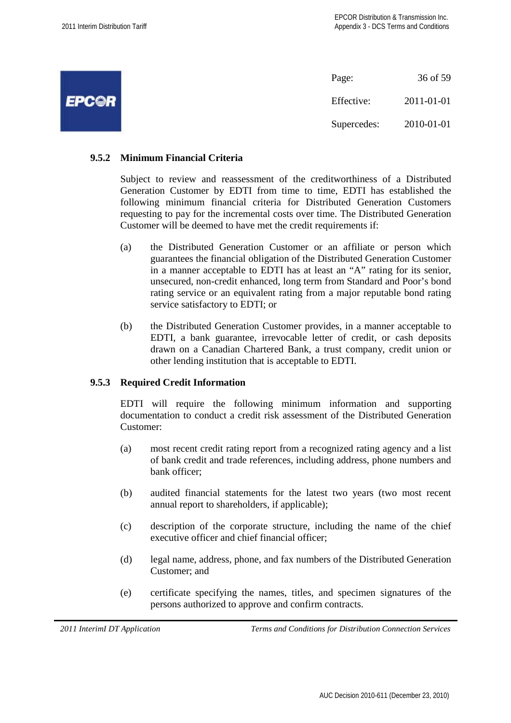|              | Page:       | 36 of 59   |
|--------------|-------------|------------|
| <b>EPC@R</b> | Effective:  | 2011-01-01 |
|              | Supercedes: | 2010-01-01 |

## **9.5.2 Minimum Financial Criteria**

Subject to review and reassessment of the creditworthiness of a Distributed Generation Customer by EDTI from time to time, EDTI has established the following minimum financial criteria for Distributed Generation Customers requesting to pay for the incremental costs over time. The Distributed Generation Customer will be deemed to have met the credit requirements if:

- (a) the Distributed Generation Customer or an affiliate or person which guarantees the financial obligation of the Distributed Generation Customer in a manner acceptable to EDTI has at least an "A" rating for its senior, unsecured, non-credit enhanced, long term from Standard and Poor's bond rating service or an equivalent rating from a major reputable bond rating service satisfactory to EDTI; or
- (b) the Distributed Generation Customer provides, in a manner acceptable to EDTI, a bank guarantee, irrevocable letter of credit, or cash deposits drawn on a Canadian Chartered Bank, a trust company, credit union or other lending institution that is acceptable to EDTI.

#### **9.5.3 Required Credit Information**

EDTI will require the following minimum information and supporting documentation to conduct a credit risk assessment of the Distributed Generation Customer:

- (a) most recent credit rating report from a recognized rating agency and a list of bank credit and trade references, including address, phone numbers and bank officer;
- (b) audited financial statements for the latest two years (two most recent annual report to shareholders, if applicable);
- (c) description of the corporate structure, including the name of the chief executive officer and chief financial officer;
- (d) legal name, address, phone, and fax numbers of the Distributed Generation Customer; and
- (e) certificate specifying the names, titles, and specimen signatures of the persons authorized to approve and confirm contracts.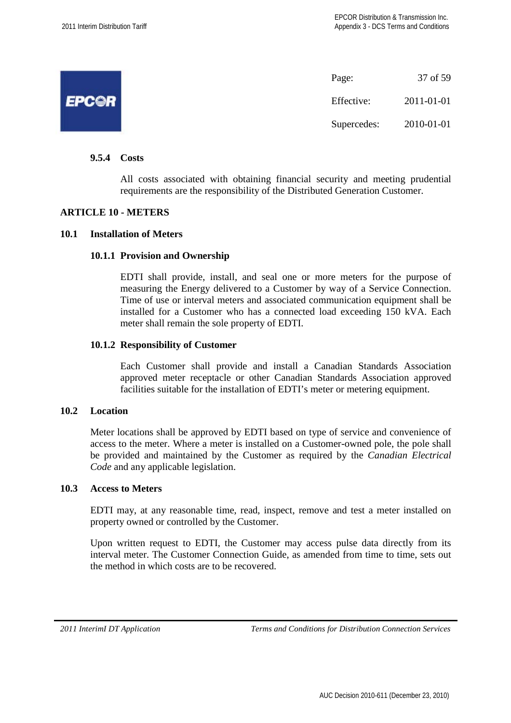|              | Page:       | 37 of 59   |
|--------------|-------------|------------|
| <b>EPCOR</b> | Effective:  | 2011-01-01 |
|              | Supercedes: | 2010-01-01 |

## **9.5.4 Costs**

All costs associated with obtaining financial security and meeting prudential requirements are the responsibility of the Distributed Generation Customer.

## **ARTICLE 10 - METERS**

#### **10.1 Installation of Meters**

#### **10.1.1 Provision and Ownership**

EDTI shall provide, install, and seal one or more meters for the purpose of measuring the Energy delivered to a Customer by way of a Service Connection. Time of use or interval meters and associated communication equipment shall be installed for a Customer who has a connected load exceeding 150 kVA. Each meter shall remain the sole property of EDTI.

#### **10.1.2 Responsibility of Customer**

Each Customer shall provide and install a Canadian Standards Association approved meter receptacle or other Canadian Standards Association approved facilities suitable for the installation of EDTI's meter or metering equipment.

## **10.2 Location**

Meter locations shall be approved by EDTI based on type of service and convenience of access to the meter. Where a meter is installed on a Customer-owned pole, the pole shall be provided and maintained by the Customer as required by the *Canadian Electrical Code* and any applicable legislation.

## **10.3 Access to Meters**

EDTI may, at any reasonable time, read, inspect, remove and test a meter installed on property owned or controlled by the Customer.

Upon written request to EDTI, the Customer may access pulse data directly from its interval meter. The Customer Connection Guide, as amended from time to time, sets out the method in which costs are to be recovered.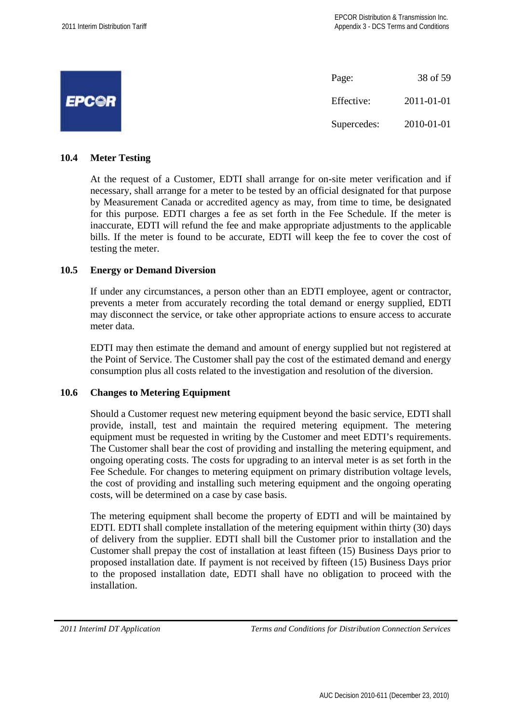|              | Page:       | 38 of 59   |
|--------------|-------------|------------|
| <b>EPCOR</b> | Effective:  | 2011-01-01 |
|              | Supercedes: | 2010-01-01 |

## **10.4 Meter Testing**

At the request of a Customer, EDTI shall arrange for on-site meter verification and if necessary, shall arrange for a meter to be tested by an official designated for that purpose by Measurement Canada or accredited agency as may, from time to time, be designated for this purpose. EDTI charges a fee as set forth in the Fee Schedule. If the meter is inaccurate, EDTI will refund the fee and make appropriate adjustments to the applicable bills. If the meter is found to be accurate, EDTI will keep the fee to cover the cost of testing the meter.

#### **10.5 Energy or Demand Diversion**

If under any circumstances, a person other than an EDTI employee, agent or contractor, prevents a meter from accurately recording the total demand or energy supplied, EDTI may disconnect the service, or take other appropriate actions to ensure access to accurate meter data.

EDTI may then estimate the demand and amount of energy supplied but not registered at the Point of Service. The Customer shall pay the cost of the estimated demand and energy consumption plus all costs related to the investigation and resolution of the diversion.

## **10.6 Changes to Metering Equipment**

Should a Customer request new metering equipment beyond the basic service, EDTI shall provide, install, test and maintain the required metering equipment. The metering equipment must be requested in writing by the Customer and meet EDTI's requirements. The Customer shall bear the cost of providing and installing the metering equipment, and ongoing operating costs. The costs for upgrading to an interval meter is as set forth in the Fee Schedule. For changes to metering equipment on primary distribution voltage levels, the cost of providing and installing such metering equipment and the ongoing operating costs, will be determined on a case by case basis.

The metering equipment shall become the property of EDTI and will be maintained by EDTI. EDTI shall complete installation of the metering equipment within thirty (30) days of delivery from the supplier. EDTI shall bill the Customer prior to installation and the Customer shall prepay the cost of installation at least fifteen (15) Business Days prior to proposed installation date. If payment is not received by fifteen (15) Business Days prior to the proposed installation date, EDTI shall have no obligation to proceed with the installation.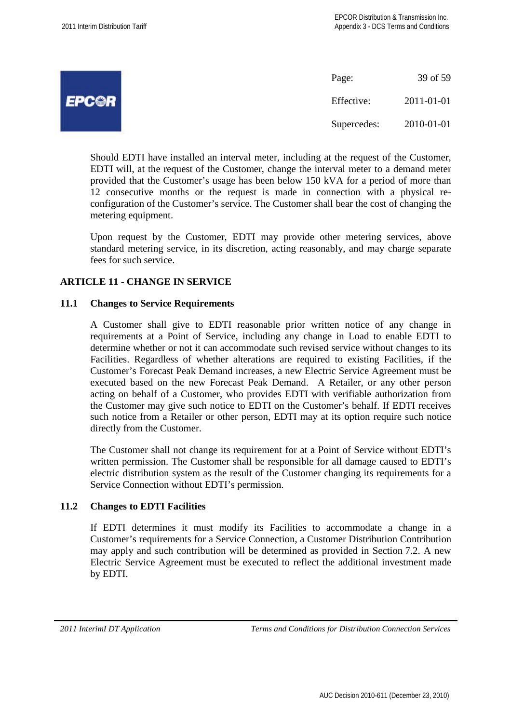|              | Page:       | 39 of 59   |
|--------------|-------------|------------|
| <b>EPCOR</b> | Effective:  | 2011-01-01 |
|              | Supercedes: | 2010-01-01 |

Should EDTI have installed an interval meter, including at the request of the Customer, EDTI will, at the request of the Customer, change the interval meter to a demand meter provided that the Customer's usage has been below 150 kVA for a period of more than 12 consecutive months or the request is made in connection with a physical reconfiguration of the Customer's service. The Customer shall bear the cost of changing the metering equipment.

Upon request by the Customer, EDTI may provide other metering services, above standard metering service, in its discretion, acting reasonably, and may charge separate fees for such service.

## **ARTICLE 11 - CHANGE IN SERVICE**

## **11.1 Changes to Service Requirements**

A Customer shall give to EDTI reasonable prior written notice of any change in requirements at a Point of Service, including any change in Load to enable EDTI to determine whether or not it can accommodate such revised service without changes to its Facilities. Regardless of whether alterations are required to existing Facilities, if the Customer's Forecast Peak Demand increases, a new Electric Service Agreement must be executed based on the new Forecast Peak Demand. A Retailer, or any other person acting on behalf of a Customer, who provides EDTI with verifiable authorization from the Customer may give such notice to EDTI on the Customer's behalf. If EDTI receives such notice from a Retailer or other person, EDTI may at its option require such notice directly from the Customer.

The Customer shall not change its requirement for at a Point of Service without EDTI's written permission. The Customer shall be responsible for all damage caused to EDTI's electric distribution system as the result of the Customer changing its requirements for a Service Connection without EDTI's permission.

## **11.2 Changes to EDTI Facilities**

If EDTI determines it must modify its Facilities to accommodate a change in a Customer's requirements for a Service Connection, a Customer Distribution Contribution may apply and such contribution will be determined as provided in Section 7.2. A new Electric Service Agreement must be executed to reflect the additional investment made by EDTI.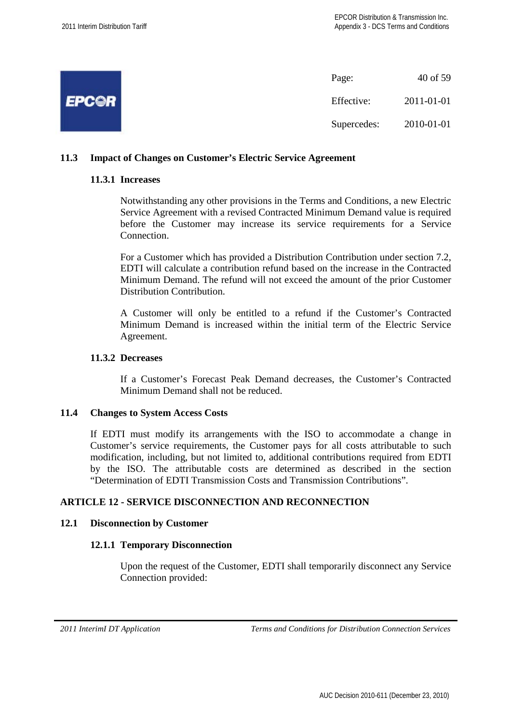|              | Page:       | 40 of 59   |
|--------------|-------------|------------|
| <b>EPCOR</b> | Effective:  | 2011-01-01 |
|              | Supercedes: | 2010-01-01 |

## **11.3 Impact of Changes on Customer's Electric Service Agreement**

## **11.3.1 Increases**

Notwithstanding any other provisions in the Terms and Conditions, a new Electric Service Agreement with a revised Contracted Minimum Demand value is required before the Customer may increase its service requirements for a Service Connection.

For a Customer which has provided a Distribution Contribution under section 7.2, EDTI will calculate a contribution refund based on the increase in the Contracted Minimum Demand. The refund will not exceed the amount of the prior Customer Distribution Contribution.

A Customer will only be entitled to a refund if the Customer's Contracted Minimum Demand is increased within the initial term of the Electric Service Agreement.

#### **11.3.2 Decreases**

If a Customer's Forecast Peak Demand decreases, the Customer's Contracted Minimum Demand shall not be reduced.

#### **11.4 Changes to System Access Costs**

If EDTI must modify its arrangements with the ISO to accommodate a change in Customer's service requirements, the Customer pays for all costs attributable to such modification, including, but not limited to, additional contributions required from EDTI by the ISO. The attributable costs are determined as described in the section "Determination of EDTI Transmission Costs and Transmission Contributions".

## **ARTICLE 12 - SERVICE DISCONNECTION AND RECONNECTION**

#### **12.1 Disconnection by Customer**

#### **12.1.1 Temporary Disconnection**

Upon the request of the Customer, EDTI shall temporarily disconnect any Service Connection provided: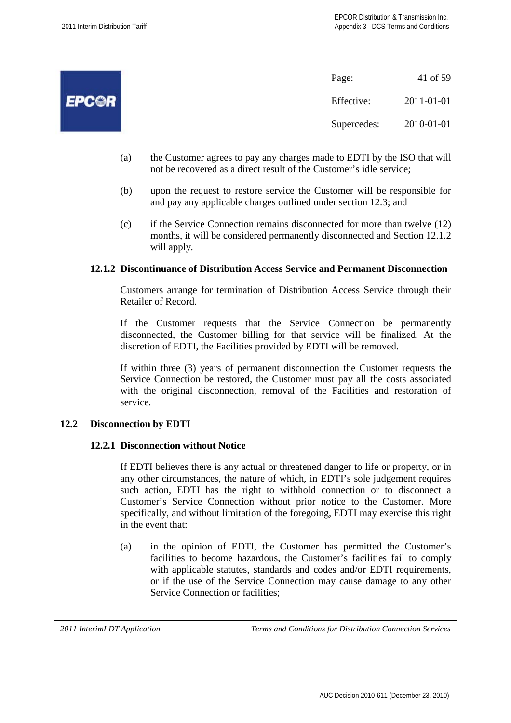|              | Page:       | 41 of 59   |
|--------------|-------------|------------|
| <b>EPC©R</b> | Effective:  | 2011-01-01 |
|              | Supercedes: | 2010-01-01 |

- (a) the Customer agrees to pay any charges made to EDTI by the ISO that will not be recovered as a direct result of the Customer's idle service;
- (b) upon the request to restore service the Customer will be responsible for and pay any applicable charges outlined under section 12.3; and
- (c) if the Service Connection remains disconnected for more than twelve (12) months, it will be considered permanently disconnected and Section 12.1.2 will apply.

#### **12.1.2 Discontinuance of Distribution Access Service and Permanent Disconnection**

Customers arrange for termination of Distribution Access Service through their Retailer of Record.

If the Customer requests that the Service Connection be permanently disconnected, the Customer billing for that service will be finalized. At the discretion of EDTI, the Facilities provided by EDTI will be removed.

If within three (3) years of permanent disconnection the Customer requests the Service Connection be restored, the Customer must pay all the costs associated with the original disconnection, removal of the Facilities and restoration of service.

#### **12.2 Disconnection by EDTI**

#### **12.2.1 Disconnection without Notice**

If EDTI believes there is any actual or threatened danger to life or property, or in any other circumstances, the nature of which, in EDTI's sole judgement requires such action, EDTI has the right to withhold connection or to disconnect a Customer's Service Connection without prior notice to the Customer. More specifically, and without limitation of the foregoing, EDTI may exercise this right in the event that:

(a) in the opinion of EDTI, the Customer has permitted the Customer's facilities to become hazardous, the Customer's facilities fail to comply with applicable statutes, standards and codes and/or EDTI requirements, or if the use of the Service Connection may cause damage to any other Service Connection or facilities;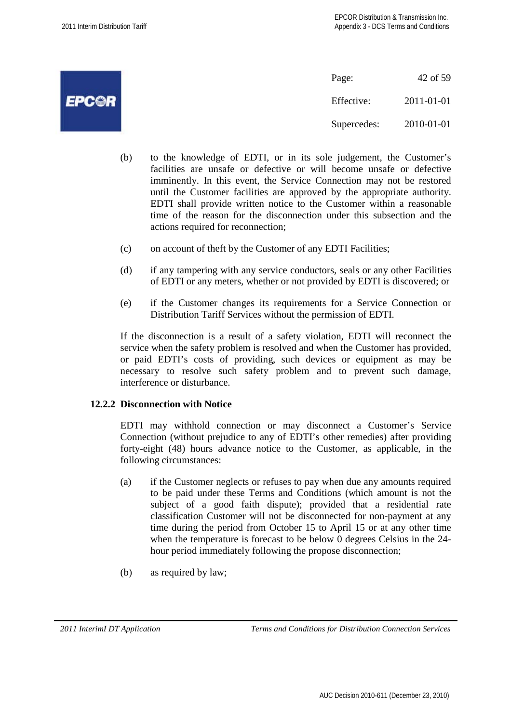|              | Page:       | 42 of 59   |
|--------------|-------------|------------|
| <b>EPCOR</b> | Effective:  | 2011-01-01 |
|              | Supercedes: | 2010-01-01 |

- (b) to the knowledge of EDTI, or in its sole judgement, the Customer's facilities are unsafe or defective or will become unsafe or defective imminently. In this event, the Service Connection may not be restored until the Customer facilities are approved by the appropriate authority. EDTI shall provide written notice to the Customer within a reasonable time of the reason for the disconnection under this subsection and the actions required for reconnection;
- (c) on account of theft by the Customer of any EDTI Facilities;
- (d) if any tampering with any service conductors, seals or any other Facilities of EDTI or any meters, whether or not provided by EDTI is discovered; or
- (e) if the Customer changes its requirements for a Service Connection or Distribution Tariff Services without the permission of EDTI.

If the disconnection is a result of a safety violation, EDTI will reconnect the service when the safety problem is resolved and when the Customer has provided, or paid EDTI's costs of providing, such devices or equipment as may be necessary to resolve such safety problem and to prevent such damage, interference or disturbance.

## **12.2.2 Disconnection with Notice**

EDTI may withhold connection or may disconnect a Customer's Service Connection (without prejudice to any of EDTI's other remedies) after providing forty-eight (48) hours advance notice to the Customer, as applicable, in the following circumstances:

- (a) if the Customer neglects or refuses to pay when due any amounts required to be paid under these Terms and Conditions (which amount is not the subject of a good faith dispute); provided that a residential rate classification Customer will not be disconnected for non-payment at any time during the period from October 15 to April 15 or at any other time when the temperature is forecast to be below 0 degrees Celsius in the 24 hour period immediately following the propose disconnection;
- (b) as required by law;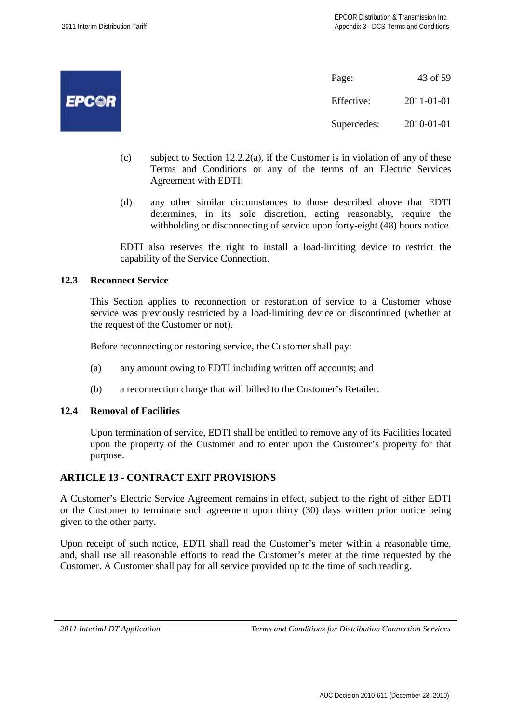

- (c) subject to Section 12.2.2(a), if the Customer is in violation of any of these Terms and Conditions or any of the terms of an Electric Services Agreement with EDTI;
- (d) any other similar circumstances to those described above that EDTI determines, in its sole discretion, acting reasonably, require the withholding or disconnecting of service upon forty-eight (48) hours notice.

EDTI also reserves the right to install a load-limiting device to restrict the capability of the Service Connection.

## **12.3 Reconnect Service**

This Section applies to reconnection or restoration of service to a Customer whose service was previously restricted by a load-limiting device or discontinued (whether at the request of the Customer or not).

Before reconnecting or restoring service, the Customer shall pay:

- (a) any amount owing to EDTI including written off accounts; and
- (b) a reconnection charge that will billed to the Customer's Retailer.

## **12.4 Removal of Facilities**

Upon termination of service, EDTI shall be entitled to remove any of its Facilities located upon the property of the Customer and to enter upon the Customer's property for that purpose.

## **ARTICLE 13 - CONTRACT EXIT PROVISIONS**

A Customer's Electric Service Agreement remains in effect, subject to the right of either EDTI or the Customer to terminate such agreement upon thirty (30) days written prior notice being given to the other party.

Upon receipt of such notice, EDTI shall read the Customer's meter within a reasonable time, and, shall use all reasonable efforts to read the Customer's meter at the time requested by the Customer. A Customer shall pay for all service provided up to the time of such reading.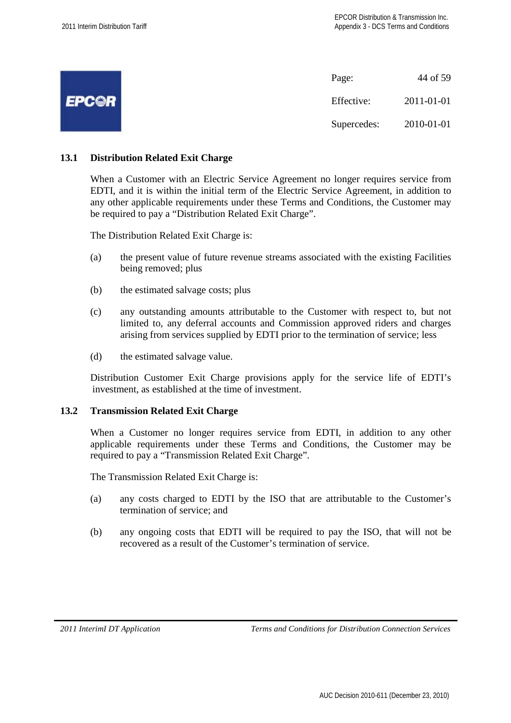|              | Page:       | 44 of 59   |
|--------------|-------------|------------|
| <b>EPCOR</b> | Effective:  | 2011-01-01 |
|              | Supercedes: | 2010-01-01 |

## **13.1 Distribution Related Exit Charge**

When a Customer with an Electric Service Agreement no longer requires service from EDTI, and it is within the initial term of the Electric Service Agreement, in addition to any other applicable requirements under these Terms and Conditions, the Customer may be required to pay a "Distribution Related Exit Charge".

The Distribution Related Exit Charge is:

- (a) the present value of future revenue streams associated with the existing Facilities being removed; plus
- (b) the estimated salvage costs; plus
- (c) any outstanding amounts attributable to the Customer with respect to, but not limited to, any deferral accounts and Commission approved riders and charges arising from services supplied by EDTI prior to the termination of service; less
- (d) the estimated salvage value.

Distribution Customer Exit Charge provisions apply for the service life of EDTI's investment, as established at the time of investment.

## **13.2 Transmission Related Exit Charge**

When a Customer no longer requires service from EDTI, in addition to any other applicable requirements under these Terms and Conditions, the Customer may be required to pay a "Transmission Related Exit Charge".

The Transmission Related Exit Charge is:

- (a) any costs charged to EDTI by the ISO that are attributable to the Customer's termination of service; and
- (b) any ongoing costs that EDTI will be required to pay the ISO, that will not be recovered as a result of the Customer's termination of service.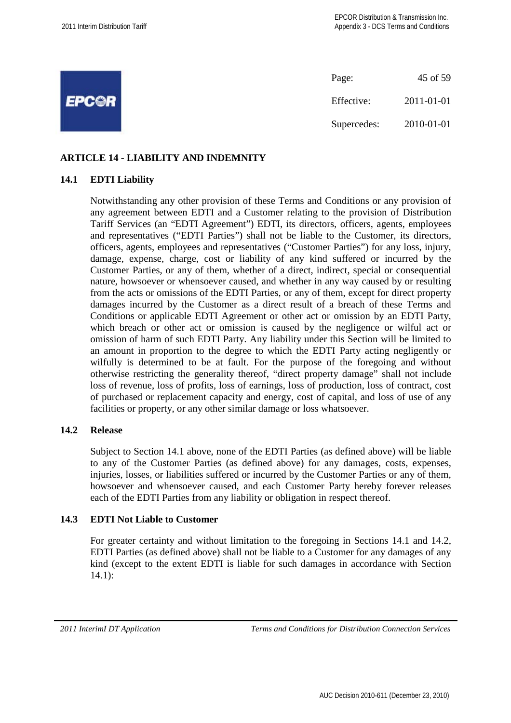|                     | Page:       | 45 of 59   |
|---------------------|-------------|------------|
| <i><b>EPC©R</b></i> | Effective:  | 2011-01-01 |
|                     | Supercedes: | 2010-01-01 |

## **ARTICLE 14 - LIABILITY AND INDEMNITY**

## **14.1 EDTI Liability**

Notwithstanding any other provision of these Terms and Conditions or any provision of any agreement between EDTI and a Customer relating to the provision of Distribution Tariff Services (an "EDTI Agreement") EDTI, its directors, officers, agents, employees and representatives ("EDTI Parties") shall not be liable to the Customer, its directors, officers, agents, employees and representatives ("Customer Parties") for any loss, injury, damage, expense, charge, cost or liability of any kind suffered or incurred by the Customer Parties, or any of them, whether of a direct, indirect, special or consequential nature, howsoever or whensoever caused, and whether in any way caused by or resulting from the acts or omissions of the EDTI Parties, or any of them, except for direct property damages incurred by the Customer as a direct result of a breach of these Terms and Conditions or applicable EDTI Agreement or other act or omission by an EDTI Party, which breach or other act or omission is caused by the negligence or wilful act or omission of harm of such EDTI Party. Any liability under this Section will be limited to an amount in proportion to the degree to which the EDTI Party acting negligently or wilfully is determined to be at fault. For the purpose of the foregoing and without otherwise restricting the generality thereof, "direct property damage" shall not include loss of revenue, loss of profits, loss of earnings, loss of production, loss of contract, cost of purchased or replacement capacity and energy, cost of capital, and loss of use of any facilities or property, or any other similar damage or loss whatsoever.

## **14.2 Release**

Subject to Section 14.1 above, none of the EDTI Parties (as defined above) will be liable to any of the Customer Parties (as defined above) for any damages, costs, expenses, injuries, losses, or liabilities suffered or incurred by the Customer Parties or any of them, howsoever and whensoever caused, and each Customer Party hereby forever releases each of the EDTI Parties from any liability or obligation in respect thereof.

#### **14.3 EDTI Not Liable to Customer**

For greater certainty and without limitation to the foregoing in Sections 14.1 and 14.2, EDTI Parties (as defined above) shall not be liable to a Customer for any damages of any kind (except to the extent EDTI is liable for such damages in accordance with Section 14.1):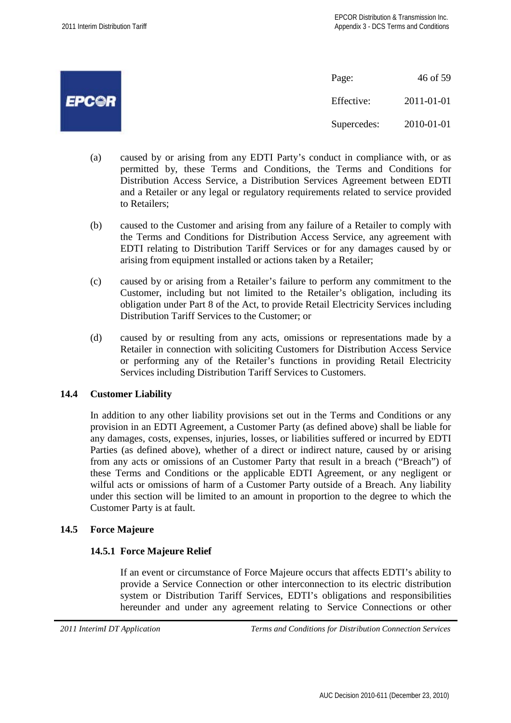

- (a) caused by or arising from any EDTI Party's conduct in compliance with, or as permitted by, these Terms and Conditions, the Terms and Conditions for Distribution Access Service, a Distribution Services Agreement between EDTI and a Retailer or any legal or regulatory requirements related to service provided to Retailers;
- (b) caused to the Customer and arising from any failure of a Retailer to comply with the Terms and Conditions for Distribution Access Service, any agreement with EDTI relating to Distribution Tariff Services or for any damages caused by or arising from equipment installed or actions taken by a Retailer;
- (c) caused by or arising from a Retailer's failure to perform any commitment to the Customer, including but not limited to the Retailer's obligation, including its obligation under Part 8 of the Act, to provide Retail Electricity Services including Distribution Tariff Services to the Customer; or
- (d) caused by or resulting from any acts, omissions or representations made by a Retailer in connection with soliciting Customers for Distribution Access Service or performing any of the Retailer's functions in providing Retail Electricity Services including Distribution Tariff Services to Customers.

## **14.4 Customer Liability**

In addition to any other liability provisions set out in the Terms and Conditions or any provision in an EDTI Agreement, a Customer Party (as defined above) shall be liable for any damages, costs, expenses, injuries, losses, or liabilities suffered or incurred by EDTI Parties (as defined above), whether of a direct or indirect nature, caused by or arising from any acts or omissions of an Customer Party that result in a breach ("Breach") of these Terms and Conditions or the applicable EDTI Agreement, or any negligent or wilful acts or omissions of harm of a Customer Party outside of a Breach. Any liability under this section will be limited to an amount in proportion to the degree to which the Customer Party is at fault.

#### **14.5 Force Majeure**

## **14.5.1 Force Majeure Relief**

If an event or circumstance of Force Majeure occurs that affects EDTI's ability to provide a Service Connection or other interconnection to its electric distribution system or Distribution Tariff Services, EDTI's obligations and responsibilities hereunder and under any agreement relating to Service Connections or other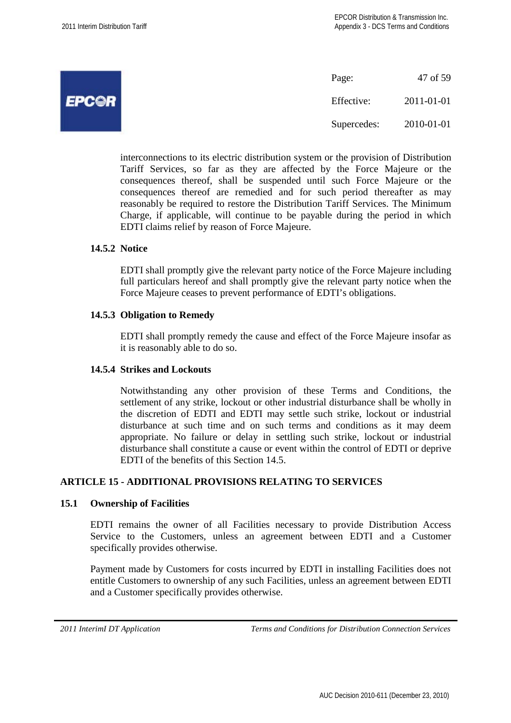| ال<br>and the<br>$\leftarrow$ |  |
|-------------------------------|--|
|                               |  |

Page: 47 of 59 Effective: 2011-01-01 Supercedes: 2010-01-01

interconnections to its electric distribution system or the provision of Distribution Tariff Services, so far as they are affected by the Force Majeure or the consequences thereof, shall be suspended until such Force Majeure or the consequences thereof are remedied and for such period thereafter as may reasonably be required to restore the Distribution Tariff Services. The Minimum Charge, if applicable, will continue to be payable during the period in which EDTI claims relief by reason of Force Majeure.

#### **14.5.2 Notice**

EDTI shall promptly give the relevant party notice of the Force Majeure including full particulars hereof and shall promptly give the relevant party notice when the Force Majeure ceases to prevent performance of EDTI's obligations.

## **14.5.3 Obligation to Remedy**

EDTI shall promptly remedy the cause and effect of the Force Majeure insofar as it is reasonably able to do so.

#### **14.5.4 Strikes and Lockouts**

Notwithstanding any other provision of these Terms and Conditions, the settlement of any strike, lockout or other industrial disturbance shall be wholly in the discretion of EDTI and EDTI may settle such strike, lockout or industrial disturbance at such time and on such terms and conditions as it may deem appropriate. No failure or delay in settling such strike, lockout or industrial disturbance shall constitute a cause or event within the control of EDTI or deprive EDTI of the benefits of this Section 14.5.

## **ARTICLE 15 - ADDITIONAL PROVISIONS RELATING TO SERVICES**

#### **15.1 Ownership of Facilities**

EDTI remains the owner of all Facilities necessary to provide Distribution Access Service to the Customers, unless an agreement between EDTI and a Customer specifically provides otherwise.

Payment made by Customers for costs incurred by EDTI in installing Facilities does not entitle Customers to ownership of any such Facilities, unless an agreement between EDTI and a Customer specifically provides otherwise.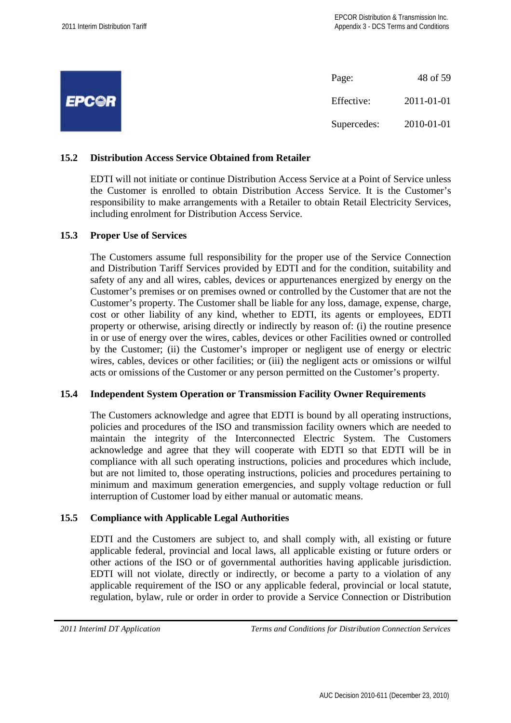|              | Page:       | 48 of 59   |
|--------------|-------------|------------|
| <b>EPCOR</b> | Effective:  | 2011-01-01 |
|              | Supercedes: | 2010-01-01 |

## **15.2 Distribution Access Service Obtained from Retailer**

EDTI will not initiate or continue Distribution Access Service at a Point of Service unless the Customer is enrolled to obtain Distribution Access Service. It is the Customer's responsibility to make arrangements with a Retailer to obtain Retail Electricity Services, including enrolment for Distribution Access Service.

#### **15.3 Proper Use of Services**

The Customers assume full responsibility for the proper use of the Service Connection and Distribution Tariff Services provided by EDTI and for the condition, suitability and safety of any and all wires, cables, devices or appurtenances energized by energy on the Customer's premises or on premises owned or controlled by the Customer that are not the Customer's property. The Customer shall be liable for any loss, damage, expense, charge, cost or other liability of any kind, whether to EDTI, its agents or employees, EDTI property or otherwise, arising directly or indirectly by reason of: (i) the routine presence in or use of energy over the wires, cables, devices or other Facilities owned or controlled by the Customer; (ii) the Customer's improper or negligent use of energy or electric wires, cables, devices or other facilities; or (iii) the negligent acts or omissions or wilful acts or omissions of the Customer or any person permitted on the Customer's property.

#### **15.4 Independent System Operation or Transmission Facility Owner Requirements**

The Customers acknowledge and agree that EDTI is bound by all operating instructions, policies and procedures of the ISO and transmission facility owners which are needed to maintain the integrity of the Interconnected Electric System. The Customers acknowledge and agree that they will cooperate with EDTI so that EDTI will be in compliance with all such operating instructions, policies and procedures which include, but are not limited to, those operating instructions, policies and procedures pertaining to minimum and maximum generation emergencies, and supply voltage reduction or full interruption of Customer load by either manual or automatic means.

## **15.5 Compliance with Applicable Legal Authorities**

EDTI and the Customers are subject to, and shall comply with, all existing or future applicable federal, provincial and local laws, all applicable existing or future orders or other actions of the ISO or of governmental authorities having applicable jurisdiction. EDTI will not violate, directly or indirectly, or become a party to a violation of any applicable requirement of the ISO or any applicable federal, provincial or local statute, regulation, bylaw, rule or order in order to provide a Service Connection or Distribution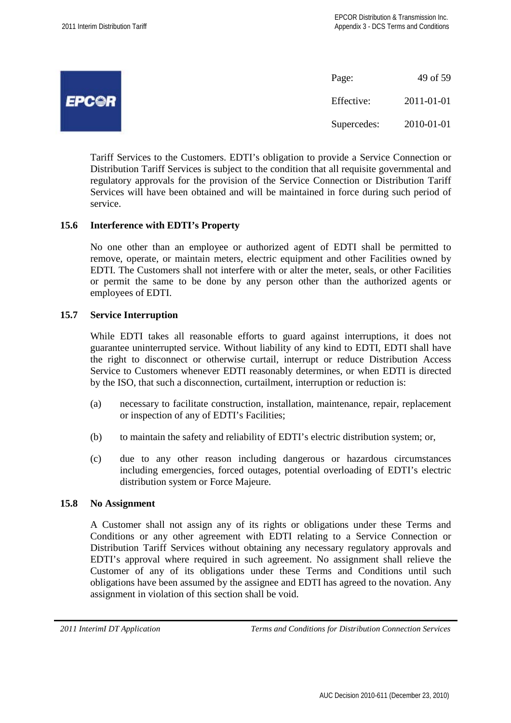|              | Page:       | 49 of 59   |
|--------------|-------------|------------|
| <b>EPCOR</b> | Effective:  | 2011-01-01 |
|              | Supercedes: | 2010-01-01 |

Tariff Services to the Customers. EDTI's obligation to provide a Service Connection or Distribution Tariff Services is subject to the condition that all requisite governmental and regulatory approvals for the provision of the Service Connection or Distribution Tariff Services will have been obtained and will be maintained in force during such period of service.

## **15.6 Interference with EDTI's Property**

No one other than an employee or authorized agent of EDTI shall be permitted to remove, operate, or maintain meters, electric equipment and other Facilities owned by EDTI. The Customers shall not interfere with or alter the meter, seals, or other Facilities or permit the same to be done by any person other than the authorized agents or employees of EDTI.

#### **15.7 Service Interruption**

While EDTI takes all reasonable efforts to guard against interruptions, it does not guarantee uninterrupted service. Without liability of any kind to EDTI, EDTI shall have the right to disconnect or otherwise curtail, interrupt or reduce Distribution Access Service to Customers whenever EDTI reasonably determines, or when EDTI is directed by the ISO, that such a disconnection, curtailment, interruption or reduction is:

- (a) necessary to facilitate construction, installation, maintenance, repair, replacement or inspection of any of EDTI's Facilities;
- (b) to maintain the safety and reliability of EDTI's electric distribution system; or,
- (c) due to any other reason including dangerous or hazardous circumstances including emergencies, forced outages, potential overloading of EDTI's electric distribution system or Force Majeure.

#### **15.8 No Assignment**

A Customer shall not assign any of its rights or obligations under these Terms and Conditions or any other agreement with EDTI relating to a Service Connection or Distribution Tariff Services without obtaining any necessary regulatory approvals and EDTI's approval where required in such agreement. No assignment shall relieve the Customer of any of its obligations under these Terms and Conditions until such obligations have been assumed by the assignee and EDTI has agreed to the novation. Any assignment in violation of this section shall be void.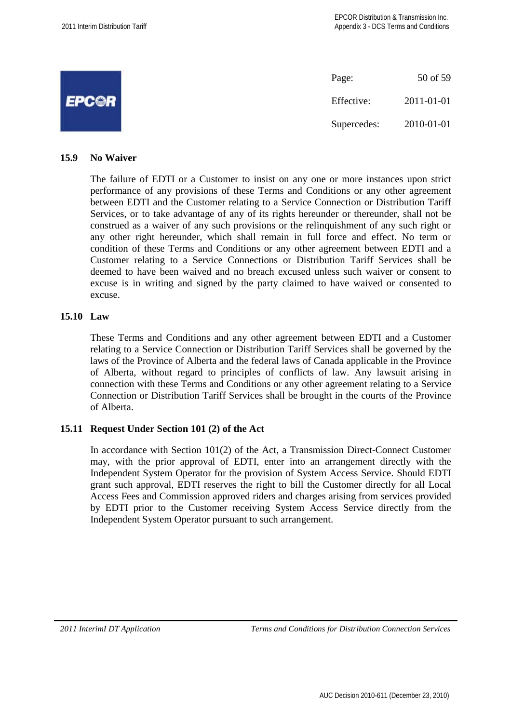

#### **15.9 No Waiver**

The failure of EDTI or a Customer to insist on any one or more instances upon strict performance of any provisions of these Terms and Conditions or any other agreement between EDTI and the Customer relating to a Service Connection or Distribution Tariff Services, or to take advantage of any of its rights hereunder or thereunder, shall not be construed as a waiver of any such provisions or the relinquishment of any such right or any other right hereunder, which shall remain in full force and effect. No term or condition of these Terms and Conditions or any other agreement between EDTI and a Customer relating to a Service Connections or Distribution Tariff Services shall be deemed to have been waived and no breach excused unless such waiver or consent to excuse is in writing and signed by the party claimed to have waived or consented to excuse.

## **15.10 Law**

These Terms and Conditions and any other agreement between EDTI and a Customer relating to a Service Connection or Distribution Tariff Services shall be governed by the laws of the Province of Alberta and the federal laws of Canada applicable in the Province of Alberta, without regard to principles of conflicts of law. Any lawsuit arising in connection with these Terms and Conditions or any other agreement relating to a Service Connection or Distribution Tariff Services shall be brought in the courts of the Province of Alberta.

## **15.11 Request Under Section 101 (2) of the Act**

In accordance with Section 101(2) of the Act, a Transmission Direct-Connect Customer may, with the prior approval of EDTI, enter into an arrangement directly with the Independent System Operator for the provision of System Access Service. Should EDTI grant such approval, EDTI reserves the right to bill the Customer directly for all Local Access Fees and Commission approved riders and charges arising from services provided by EDTI prior to the Customer receiving System Access Service directly from the Independent System Operator pursuant to such arrangement.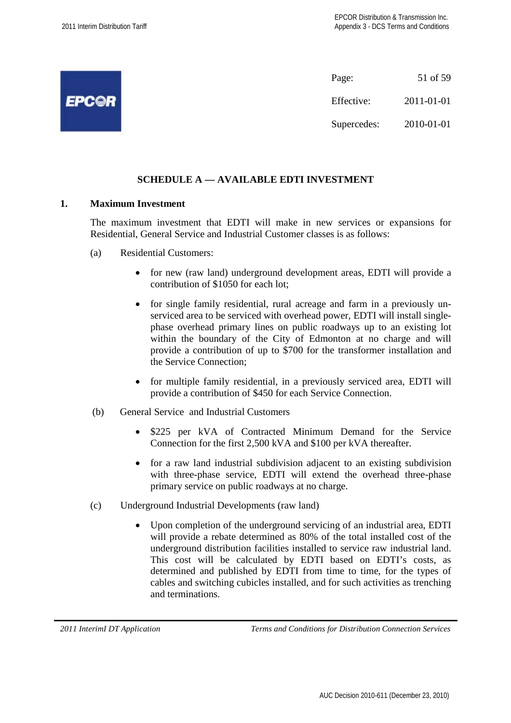

## **SCHEDULE A — AVAILABLE EDTI INVESTMENT**

## **1. Maximum Investment**

The maximum investment that EDTI will make in new services or expansions for Residential, General Service and Industrial Customer classes is as follows:

- (a) Residential Customers:
	- for new (raw land) underground development areas, EDTI will provide a contribution of \$1050 for each lot;
	- for single family residential, rural acreage and farm in a previously unserviced area to be serviced with overhead power, EDTI will install singlephase overhead primary lines on public roadways up to an existing lot within the boundary of the City of Edmonton at no charge and will provide a contribution of up to \$700 for the transformer installation and the Service Connection;
	- for multiple family residential, in a previously serviced area, EDTI will provide a contribution of \$450 for each Service Connection.
- (b) General Service and Industrial Customers
	- \$225 per kVA of Contracted Minimum Demand for the Service Connection for the first 2,500 kVA and \$100 per kVA thereafter.
	- for a raw land industrial subdivision adjacent to an existing subdivision with three-phase service, EDTI will extend the overhead three-phase primary service on public roadways at no charge.
- (c) Underground Industrial Developments (raw land)
	- Upon completion of the underground servicing of an industrial area, EDTI will provide a rebate determined as 80% of the total installed cost of the underground distribution facilities installed to service raw industrial land. This cost will be calculated by EDTI based on EDTI's costs, as determined and published by EDTI from time to time, for the types of cables and switching cubicles installed, and for such activities as trenching and terminations.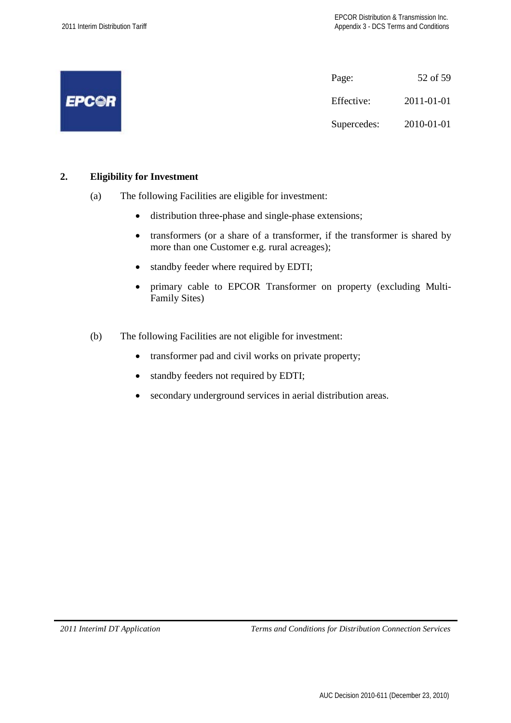|              | Page:       | 52 of 59   |
|--------------|-------------|------------|
| <b>EPCOR</b> | Effective:  | 2011-01-01 |
|              | Supercedes: | 2010-01-01 |

## **2. Eligibility for Investment**

- (a) The following Facilities are eligible for investment:
	- distribution three-phase and single-phase extensions;
	- transformers (or a share of a transformer, if the transformer is shared by more than one Customer e.g. rural acreages);
	- standby feeder where required by EDTI;
	- primary cable to EPCOR Transformer on property (excluding Multi-Family Sites)
- (b) The following Facilities are not eligible for investment:
	- transformer pad and civil works on private property;
	- standby feeders not required by EDTI;
	- secondary underground services in aerial distribution areas.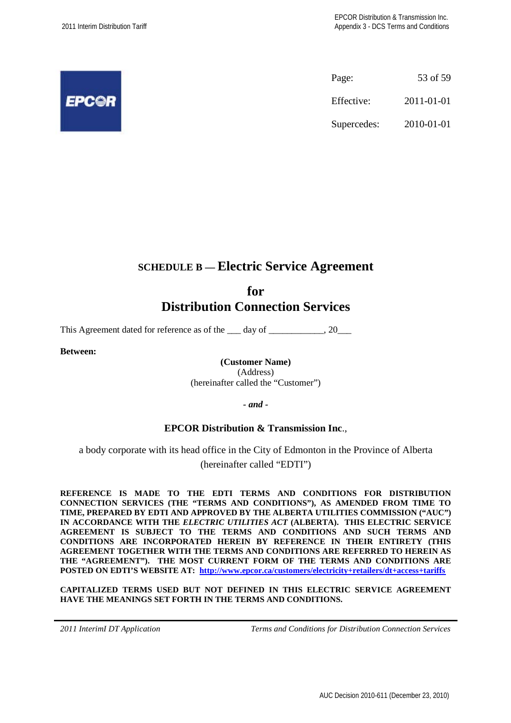

Page: 53 of 59 Effective: 2011-01-01 Supercedes: 2010-01-01

# **SCHEDULE B — Electric Service Agreement**

# **for Distribution Connection Services**

This Agreement dated for reference as of the day of  $\qquad \qquad .20$ 

**Between:**

**(Customer Name)** (Address)

(hereinafter called the "Customer")

*- and -*

## **EPCOR Distribution & Transmission Inc**.,

a body corporate with its head office in the City of Edmonton in the Province of Alberta (hereinafter called "EDTI")

**REFERENCE IS MADE TO THE EDTI TERMS AND CONDITIONS FOR DISTRIBUTION CONNECTION SERVICES (THE "TERMS AND CONDITIONS"), AS AMENDED FROM TIME TO TIME, PREPARED BY EDTI AND APPROVED BY THE ALBERTA UTILITIES COMMISSION ("AUC") IN ACCORDANCE WITH THE** *ELECTRIC UTILITIES ACT* **(ALBERTA). THIS ELECTRIC SERVICE AGREEMENT IS SUBJECT TO THE TERMS AND CONDITIONS AND SUCH TERMS AND CONDITIONS ARE INCORPORATED HEREIN BY REFERENCE IN THEIR ENTIRETY (THIS AGREEMENT TOGETHER WITH THE TERMS AND CONDITIONS ARE REFERRED TO HEREIN AS THE "AGREEMENT"). THE MOST CURRENT FORM OF THE TERMS AND CONDITIONS ARE POSTED ON EDTI'S WEBSITE AT: http://www.epcor.ca/customers/electricity+retailers/dt+access+tariffs**

**CAPITALIZED TERMS USED BUT NOT DEFINED IN THIS ELECTRIC SERVICE AGREEMENT HAVE THE MEANINGS SET FORTH IN THE TERMS AND CONDITIONS.**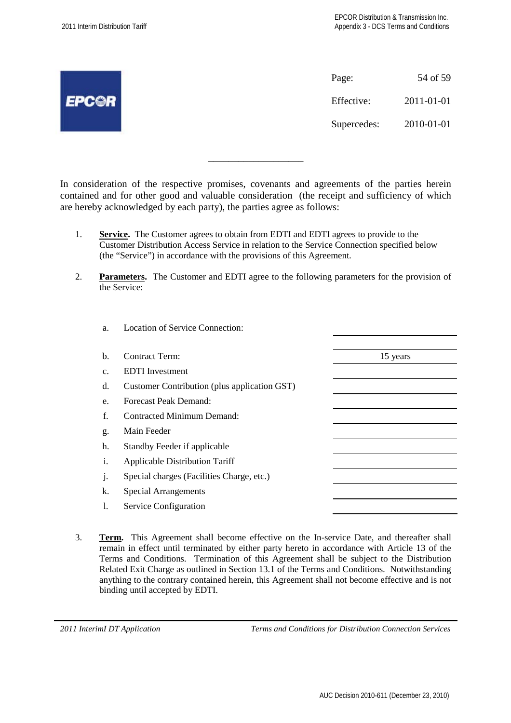|              | Page:       | 54 of 59   |
|--------------|-------------|------------|
| <b>EPCOR</b> | Effective:  | 2011-01-01 |
|              | Supercedes: | 2010-01-01 |
|              |             |            |

In consideration of the respective promises, covenants and agreements of the parties herein contained and for other good and valuable consideration (the receipt and sufficiency of which are hereby acknowledged by each party), the parties agree as follows:

\_\_\_\_\_\_\_\_\_\_\_\_\_\_\_\_\_\_\_

- 1. **Service.** The Customer agrees to obtain from EDTI and EDTI agrees to provide to the Customer Distribution Access Service in relation to the Service Connection specified below (the "Service") in accordance with the provisions of this Agreement.
- 2. **Parameters.** The Customer and EDTI agree to the following parameters for the provision of the Service:

| a.             | Location of Service Connection:              |          |
|----------------|----------------------------------------------|----------|
|                |                                              |          |
| b.             | Contract Term:                               | 15 years |
| C <sub>1</sub> | <b>EDTI</b> Investment                       |          |
| d.             | Customer Contribution (plus application GST) |          |
| e.             | Forecast Peak Demand:                        |          |
| f.             | Contracted Minimum Demand:                   |          |
| g.             | Main Feeder                                  |          |
| h.             | Standby Feeder if applicable                 |          |
| i.             | <b>Applicable Distribution Tariff</b>        |          |
| J <sub>1</sub> | Special charges (Facilities Charge, etc.)    |          |
| k.             | <b>Special Arrangements</b>                  |          |
| 1.             | Service Configuration                        |          |
|                |                                              |          |

3. **Term.** This Agreement shall become effective on the In-service Date, and thereafter shall remain in effect until terminated by either party hereto in accordance with Article 13 of the Terms and Conditions. Termination of this Agreement shall be subject to the Distribution Related Exit Charge as outlined in Section 13.1 of the Terms and Conditions. Notwithstanding anything to the contrary contained herein, this Agreement shall not become effective and is not binding until accepted by EDTI.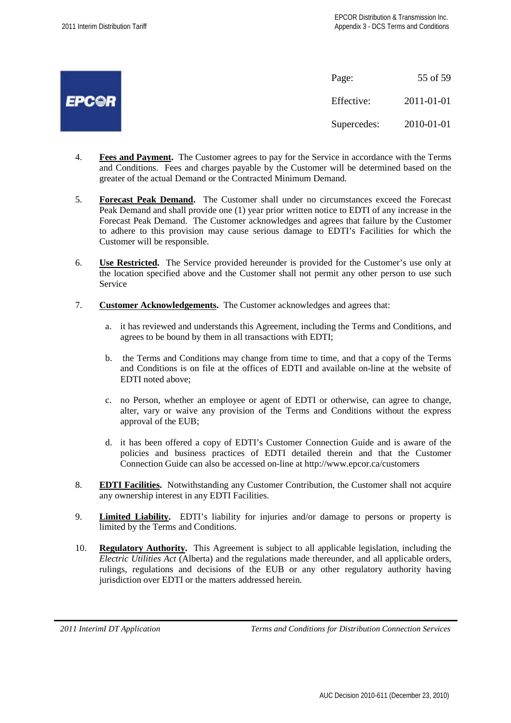

Page: 55 of 59 Effective: 2011-01-01 Supercedes: 2010-01-01

- 4. **Fees and Payment.** The Customer agrees to pay for the Service in accordance with the Terms and Conditions. Fees and charges payable by the Customer will be determined based on the greater of the actual Demand or the Contracted Minimum Demand.
- 5. **Forecast Peak Demand.** The Customer shall under no circumstances exceed the Forecast Peak Demand and shall provide one (1) year prior written notice to EDTI of any increase in the Forecast Peak Demand. The Customer acknowledges and agrees that failure by the Customer to adhere to this provision may cause serious damage to EDTI's Facilities for which the Customer will be responsible.
- 6. **Use Restricted.** The Service provided hereunder is provided for the Customer's use only at the location specified above and the Customer shall not permit any other person to use such Service
- 7. **Customer Acknowledgements.** The Customer acknowledges and agrees that:
	- a. it has reviewed and understands this Agreement, including the Terms and Conditions, and agrees to be bound by them in all transactions with EDTI;
	- b. the Terms and Conditions may change from time to time, and that a copy of the Terms and Conditions is on file at the offices of EDTI and available on-line at the website of EDTI noted above;
	- c. no Person, whether an employee or agent of EDTI or otherwise, can agree to change, alter, vary or waive any provision of the Terms and Conditions without the express approval of the EUB;
	- d. it has been offered a copy of EDTI's Customer Connection Guide and is aware of the policies and business practices of EDTI detailed therein and that the Customer Connection Guide can also be accessed on-line at http://www.epcor.ca/customers
- 8. **EDTI Facilities.** Notwithstanding any Customer Contribution, the Customer shall not acquire any ownership interest in any EDTI Facilities.
- 9. **Limited Liability.** EDTI's liability for injuries and/or damage to persons or property is limited by the Terms and Conditions.
- 10. **Regulatory Authority.** This Agreement is subject to all applicable legislation, including the *Electric Utilities Act* (Alberta) and the regulations made thereunder, and all applicable orders, rulings, regulations and decisions of the EUB or any other regulatory authority having jurisdiction over EDTI or the matters addressed herein.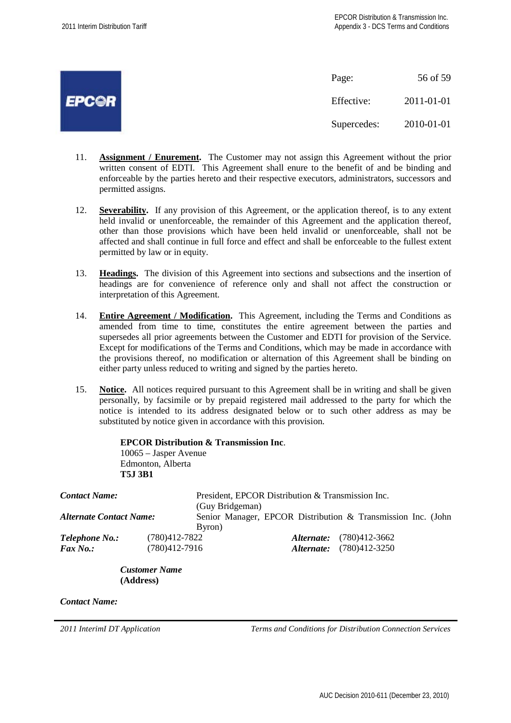

Page: 56 of 59 Effective: 2011-01-01 Supercedes: 2010-01-01

- 11. **Assignment / Enurement.** The Customer may not assign this Agreement without the prior written consent of EDTI. This Agreement shall enure to the benefit of and be binding and enforceable by the parties hereto and their respective executors, administrators, successors and permitted assigns.
- 12. **Severability.** If any provision of this Agreement, or the application thereof, is to any extent held invalid or unenforceable, the remainder of this Agreement and the application thereof, other than those provisions which have been held invalid or unenforceable, shall not be affected and shall continue in full force and effect and shall be enforceable to the fullest extent permitted by law or in equity.
- 13. **Headings.** The division of this Agreement into sections and subsections and the insertion of headings are for convenience of reference only and shall not affect the construction or interpretation of this Agreement.
- 14. **Entire Agreement / Modification.** This Agreement, including the Terms and Conditions as amended from time to time, constitutes the entire agreement between the parties and supersedes all prior agreements between the Customer and EDTI for provision of the Service. Except for modifications of the Terms and Conditions, which may be made in accordance with the provisions thereof, no modification or alternation of this Agreement shall be binding on either party unless reduced to writing and signed by the parties hereto.
- 15. **Notice.** All notices required pursuant to this Agreement shall be in writing and shall be given personally, by facsimile or by prepaid registered mail addressed to the party for which the notice is intended to its address designated below or to such other address as may be substituted by notice given in accordance with this provision.

|                                | <b>EPCOR Distribution &amp; Transmission Inc.</b><br>$10065 - Jasper$ Avenue |                 |                                                   |                                                              |
|--------------------------------|------------------------------------------------------------------------------|-----------------|---------------------------------------------------|--------------------------------------------------------------|
|                                | Edmonton, Alberta                                                            |                 |                                                   |                                                              |
|                                | <b>T5J 3B1</b>                                                               |                 |                                                   |                                                              |
| Contact Name:                  |                                                                              | (Guy Bridgeman) | President, EPCOR Distribution & Transmission Inc. |                                                              |
| <b>Alternate Contact Name:</b> |                                                                              | Byron)          |                                                   | Senior Manager, EPCOR Distribution & Transmission Inc. (John |
| Telephone No.:                 | (780)412-7822                                                                |                 | Alternate:                                        | $(780)412 - 3662$                                            |
| <b>Fax No.:</b>                | (780)412-7916                                                                |                 | Alternate:                                        | $(780)412 - 3250$                                            |

*Customer Name* **(Address)**

*Contact Name:*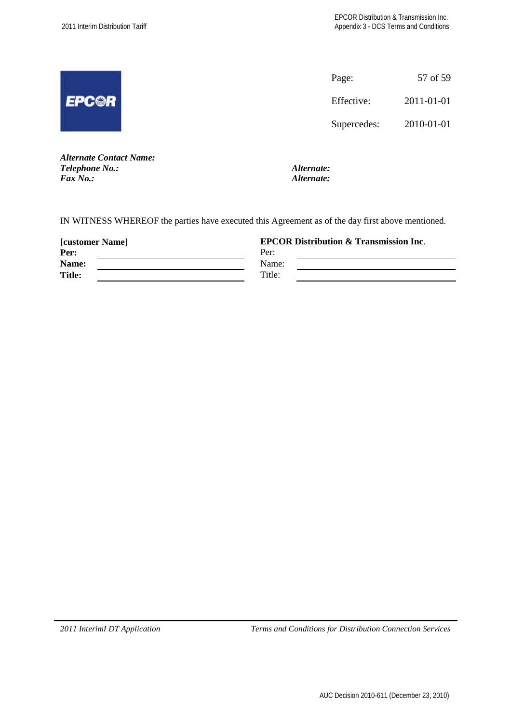|              | Page:       | 57 of 59   |
|--------------|-------------|------------|
| <b>EPC@R</b> | Effective:  | 2011-01-01 |
|              | Supercedes: | 2010-01-01 |
|              |             |            |

*Alternate Contact Name: Telephone No.: Alternate: Fax No.: Alternate:*

IN WITNESS WHEREOF the parties have executed this Agreement as of the day first above mentioned.

| <b>[customer Name]</b> | <b>EPCOR Distribution &amp; Transmission Inc.</b> |  |  |
|------------------------|---------------------------------------------------|--|--|
| Per:                   | Per:                                              |  |  |
| Name:                  | Name:                                             |  |  |
| <b>Title:</b>          | Title:                                            |  |  |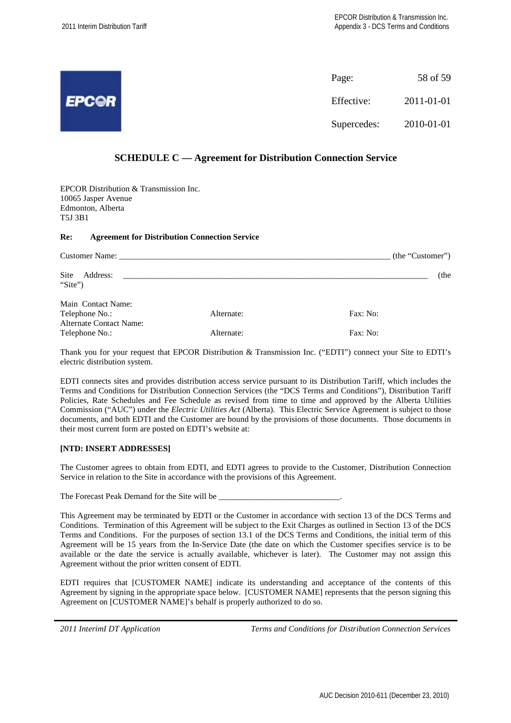|              | Page:       | 58 of 59   |
|--------------|-------------|------------|
| <b>EPCOR</b> | Effective:  | 2011-01-01 |
|              | Supercedes: | 2010-01-01 |

#### **SCHEDULE C — Agreement for Distribution Connection Service**

EPCOR Distribution & Transmission Inc. 10065 Jasper Avenue Edmonton, Alberta T5J 3B1

#### **Re: Agreement for Distribution Connection Service**

|                                                  |            | (the "Customer") |
|--------------------------------------------------|------------|------------------|
| Site<br>Address:<br>"Site")                      |            | (the             |
| Main Contact Name:<br>Telephone No.:             | Alternate: | Fax: No:         |
| <b>Alternate Contact Name:</b><br>Telephone No.: | Alternate: | Fax: No:         |

Thank you for your request that EPCOR Distribution & Transmission Inc. ("EDTI") connect your Site to EDTI's electric distribution system.

EDTI connects sites and provides distribution access service pursuant to its Distribution Tariff, which includes the Terms and Conditions for Distribution Connection Services (the "DCS Terms and Conditions"), Distribution Tariff Policies, Rate Schedules and Fee Schedule as revised from time to time and approved by the Alberta Utilities Commission ("AUC") under the *Electric Utilities Act* (Alberta). This Electric Service Agreement is subject to those documents, and both EDTI and the Customer are bound by the provisions of those documents. Those documents in their most current form are posted on EDTI's website at:

#### **[NTD: INSERT ADDRESSES]**

The Customer agrees to obtain from EDTI, and EDTI agrees to provide to the Customer, Distribution Connection Service in relation to the Site in accordance with the provisions of this Agreement.

The Forecast Peak Demand for the Site will be

This Agreement may be terminated by EDTI or the Customer in accordance with section 13 of the DCS Terms and Conditions. Termination of this Agreement will be subject to the Exit Charges as outlined in Section 13 of the DCS Terms and Conditions. For the purposes of section 13.1 of the DCS Terms and Conditions, the initial term of this Agreement will be 15 years from the In-Service Date (the date on which the Customer specifies service is to be available or the date the service is actually available, whichever is later). The Customer may not assign this Agreement without the prior written consent of EDTI.

EDTI requires that [CUSTOMER NAME] indicate its understanding and acceptance of the contents of this Agreement by signing in the appropriate space below. [CUSTOMER NAME] represents that the person signing this Agreement on [CUSTOMER NAME]'s behalf is properly authorized to do so.

|  |  |  | 2011 InterimI DT Application |
|--|--|--|------------------------------|
|--|--|--|------------------------------|